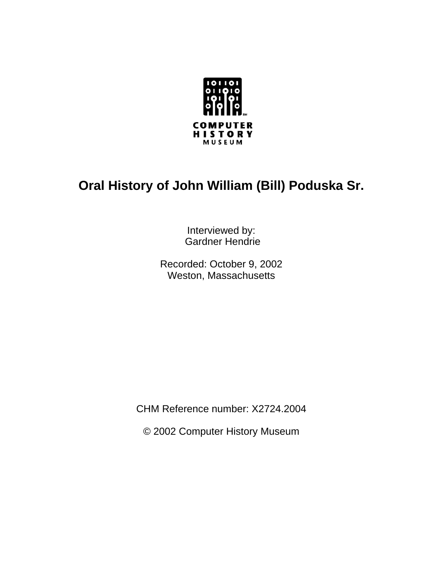

## **Oral History of John William (Bill) Poduska Sr.**

Interviewed by: Gardner Hendrie

Recorded: October 9, 2002 Weston, Massachusetts

CHM Reference number: X2724.2004

© 2002 Computer History Museum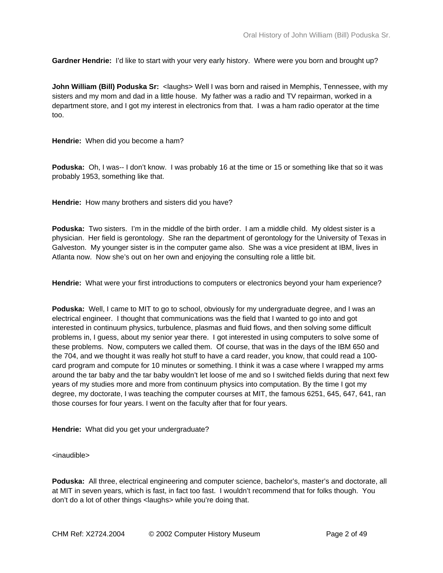**Gardner Hendrie:** I'd like to start with your very early history. Where were you born and brought up?

**John William (Bill) Poduska Sr:** <laughs> Well I was born and raised in Memphis, Tennessee, with my sisters and my mom and dad in a little house. My father was a radio and TV repairman, worked in a department store, and I got my interest in electronics from that. I was a ham radio operator at the time too.

**Hendrie:** When did you become a ham?

**Poduska:** Oh, I was-- I don't know. I was probably 16 at the time or 15 or something like that so it was probably 1953, something like that.

**Hendrie:** How many brothers and sisters did you have?

**Poduska:** Two sisters. I'm in the middle of the birth order. I am a middle child. My oldest sister is a physician. Her field is gerontology. She ran the department of gerontology for the University of Texas in Galveston. My younger sister is in the computer game also. She was a vice president at IBM, lives in Atlanta now. Now she's out on her own and enjoying the consulting role a little bit.

**Hendrie:** What were your first introductions to computers or electronics beyond your ham experience?

**Poduska:** Well, I came to MIT to go to school, obviously for my undergraduate degree, and I was an electrical engineer. I thought that communications was the field that I wanted to go into and got interested in continuum physics, turbulence, plasmas and fluid flows, and then solving some difficult problems in, I guess, about my senior year there. I got interested in using computers to solve some of these problems. Now, computers we called them. Of course, that was in the days of the IBM 650 and the 704, and we thought it was really hot stuff to have a card reader, you know, that could read a 100 card program and compute for 10 minutes or something. I think it was a case where I wrapped my arms around the tar baby and the tar baby wouldn't let loose of me and so I switched fields during that next few years of my studies more and more from continuum physics into computation. By the time I got my degree, my doctorate, I was teaching the computer courses at MIT, the famous 6251, 645, 647, 641, ran those courses for four years. I went on the faculty after that for four years.

**Hendrie:** What did you get your undergraduate?

<inaudible>

**Poduska:** All three, electrical engineering and computer science, bachelor's, master's and doctorate, all at MIT in seven years, which is fast, in fact too fast. I wouldn't recommend that for folks though. You don't do a lot of other things <laughs> while you're doing that.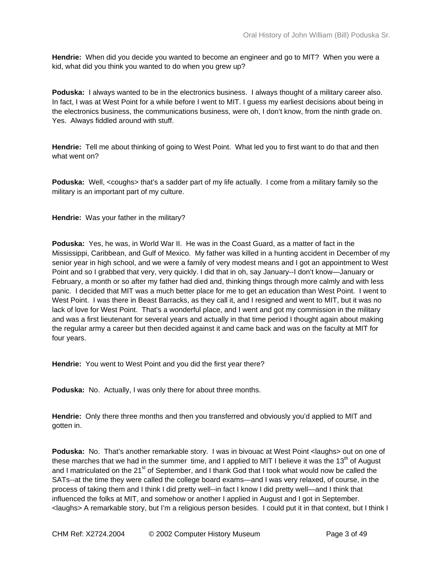**Hendrie:** When did you decide you wanted to become an engineer and go to MIT? When you were a kid, what did you think you wanted to do when you grew up?

**Poduska:** I always wanted to be in the electronics business. I always thought of a military career also. In fact, I was at West Point for a while before I went to MIT. I guess my earliest decisions about being in the electronics business, the communications business, were oh, I don't know, from the ninth grade on. Yes. Always fiddled around with stuff.

**Hendrie:** Tell me about thinking of going to West Point. What led you to first want to do that and then what went on?

**Poduska:** Well, <coughs> that's a sadder part of my life actually. I come from a military family so the military is an important part of my culture.

**Hendrie:** Was your father in the military?

**Poduska:** Yes, he was, in World War II. He was in the Coast Guard, as a matter of fact in the Mississippi, Caribbean, and Gulf of Mexico. My father was killed in a hunting accident in December of my senior year in high school, and we were a family of very modest means and I got an appointment to West Point and so I grabbed that very, very quickly. I did that in oh, say January--I don't know—January or February, a month or so after my father had died and, thinking things through more calmly and with less panic. I decided that MIT was a much better place for me to get an education than West Point. I went to West Point. I was there in Beast Barracks, as they call it, and I resigned and went to MIT, but it was no lack of love for West Point. That's a wonderful place, and I went and got my commission in the military and was a first lieutenant for several years and actually in that time period I thought again about making the regular army a career but then decided against it and came back and was on the faculty at MIT for four years.

**Hendrie:** You went to West Point and you did the first year there?

**Poduska:** No. Actually, I was only there for about three months.

**Hendrie:** Only there three months and then you transferred and obviously you'd applied to MIT and gotten in.

**Poduska:** No. That's another remarkable story. I was in bivouac at West Point <laughs> out on one of these marches that we had in the summer time, and I applied to MIT I believe it was the  $13<sup>th</sup>$  of August and I matriculated on the 21<sup>st</sup> of September, and I thank God that I took what would now be called the SATs--at the time they were called the college board exams—and I was very relaxed, of course, in the process of taking them and I think I did pretty well--in fact I know I did pretty well—and I think that influenced the folks at MIT, and somehow or another I applied in August and I got in September. <laughs> A remarkable story, but I'm a religious person besides. I could put it in that context, but I think I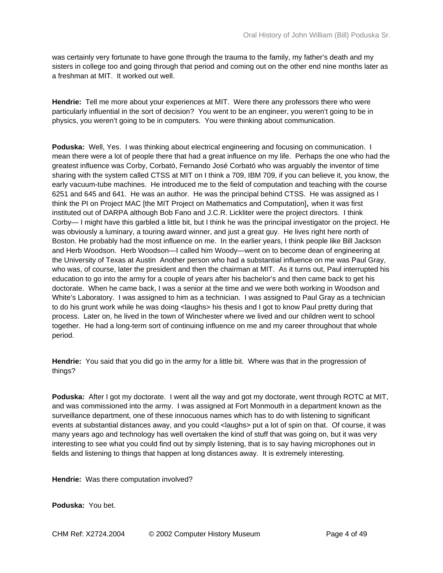was certainly very fortunate to have gone through the trauma to the family, my father's death and my sisters in college too and going through that period and coming out on the other end nine months later as a freshman at MIT. It worked out well.

**Hendrie:** Tell me more about your experiences at MIT. Were there any professors there who were particularly influential in the sort of decision? You went to be an engineer, you weren't going to be in physics, you weren't going to be in computers. You were thinking about communication.

**Poduska:** Well, Yes. I was thinking about electrical engineering and focusing on communication. I mean there were a lot of people there that had a great influence on my life. Perhaps the one who had the greatest influence was Corby, Corbató, Fernando José Corbató who was arguably the inventor of time sharing with the system called CTSS at MIT on I think a 709, IBM 709, if you can believe it, you know, the early vacuum-tube machines. He introduced me to the field of computation and teaching with the course 6251 and 645 and 641. He was an author. He was the principal behind CTSS. He was assigned as I think the PI on Project MAC [the MIT Project on Mathematics and Computation], when it was first instituted out of DARPA although Bob Fano and J.C.R. Lickliter were the project directors. I think Corby— I might have this garbled a little bit, but I think he was the principal investigator on the project. He was obviously a luminary, a touring award winner, and just a great guy. He lives right here north of Boston. He probably had the most influence on me. In the earlier years, I think people like Bill Jackson and Herb Woodson. Herb Woodson—I called him Woody—went on to become dean of engineering at the University of Texas at Austin Another person who had a substantial influence on me was Paul Gray, who was, of course, later the president and then the chairman at MIT. As it turns out, Paul interrupted his education to go into the army for a couple of years after his bachelor's and then came back to get his doctorate. When he came back, I was a senior at the time and we were both working in Woodson and White's Laboratory. I was assigned to him as a technician. I was assigned to Paul Gray as a technician to do his grunt work while he was doing <laughs> his thesis and I got to know Paul pretty during that process. Later on, he lived in the town of Winchester where we lived and our children went to school together. He had a long-term sort of continuing influence on me and my career throughout that whole period.

**Hendrie:** You said that you did go in the army for a little bit. Where was that in the progression of things?

**Poduska:** After I got my doctorate. I went all the way and got my doctorate, went through ROTC at MIT, and was commissioned into the army. I was assigned at Fort Monmouth in a department known as the surveillance department, one of these innocuous names which has to do with listening to significant events at substantial distances away, and you could <laughs> put a lot of spin on that. Of course, it was many years ago and technology has well overtaken the kind of stuff that was going on, but it was very interesting to see what you could find out by simply listening, that is to say having microphones out in fields and listening to things that happen at long distances away. It is extremely interesting.

**Hendrie:** Was there computation involved?

**Poduska:** You bet.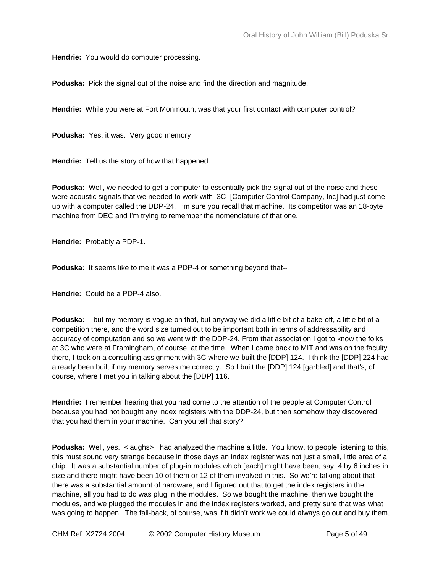**Hendrie:** You would do computer processing.

**Poduska:** Pick the signal out of the noise and find the direction and magnitude.

**Hendrie:** While you were at Fort Monmouth, was that your first contact with computer control?

**Poduska:** Yes, it was. Very good memory

**Hendrie:** Tell us the story of how that happened.

**Poduska:** Well, we needed to get a computer to essentially pick the signal out of the noise and these were acoustic signals that we needed to work with 3C [Computer Control Company, Inc] had just come up with a computer called the DDP-24. I'm sure you recall that machine. Its competitor was an 18-byte machine from DEC and I'm trying to remember the nomenclature of that one.

**Hendrie:** Probably a PDP-1.

**Poduska:** It seems like to me it was a PDP-4 or something beyond that--

**Hendrie:** Could be a PDP-4 also.

**Poduska:** --but my memory is vague on that, but anyway we did a little bit of a bake-off, a little bit of a competition there, and the word size turned out to be important both in terms of addressability and accuracy of computation and so we went with the DDP-24. From that association I got to know the folks at 3C who were at Framingham, of course, at the time. When I came back to MIT and was on the faculty there, I took on a consulting assignment with 3C where we built the [DDP] 124. I think the [DDP] 224 had already been built if my memory serves me correctly. So I built the [DDP] 124 [garbled] and that's, of course, where I met you in talking about the [DDP] 116.

**Hendrie:** I remember hearing that you had come to the attention of the people at Computer Control because you had not bought any index registers with the DDP-24, but then somehow they discovered that you had them in your machine. Can you tell that story?

**Poduska:** Well, yes. < laughs> I had analyzed the machine a little. You know, to people listening to this, this must sound very strange because in those days an index register was not just a small, little area of a chip. It was a substantial number of plug-in modules which [each] might have been, say, 4 by 6 inches in size and there might have been 10 of them or 12 of them involved in this. So we're talking about that there was a substantial amount of hardware, and I figured out that to get the index registers in the machine, all you had to do was plug in the modules. So we bought the machine, then we bought the modules, and we plugged the modules in and the index registers worked, and pretty sure that was what was going to happen. The fall-back, of course, was if it didn't work we could always go out and buy them,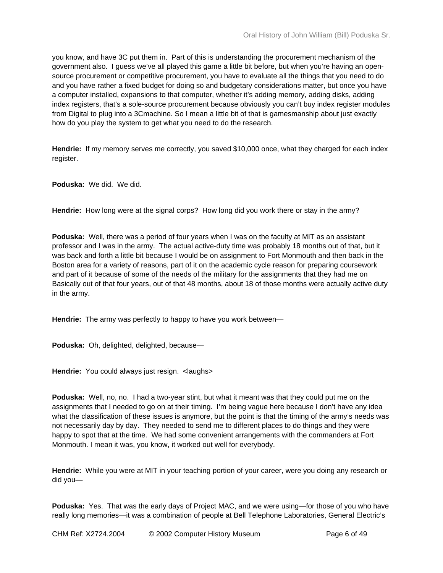you know, and have 3C put them in. Part of this is understanding the procurement mechanism of the government also. I guess we've all played this game a little bit before, but when you're having an opensource procurement or competitive procurement, you have to evaluate all the things that you need to do and you have rather a fixed budget for doing so and budgetary considerations matter, but once you have a computer installed, expansions to that computer, whether it's adding memory, adding disks, adding index registers, that's a sole-source procurement because obviously you can't buy index register modules from Digital to plug into a 3Cmachine. So I mean a little bit of that is gamesmanship about just exactly how do you play the system to get what you need to do the research.

**Hendrie:** If my memory serves me correctly, you saved \$10,000 once, what they charged for each index register.

**Poduska:** We did. We did.

**Hendrie:** How long were at the signal corps? How long did you work there or stay in the army?

**Poduska:** Well, there was a period of four years when I was on the faculty at MIT as an assistant professor and I was in the army. The actual active-duty time was probably 18 months out of that, but it was back and forth a little bit because I would be on assignment to Fort Monmouth and then back in the Boston area for a variety of reasons, part of it on the academic cycle reason for preparing coursework and part of it because of some of the needs of the military for the assignments that they had me on Basically out of that four years, out of that 48 months, about 18 of those months were actually active duty in the army.

**Hendrie:** The army was perfectly to happy to have you work between—

**Poduska:** Oh, delighted, delighted, because—

**Hendrie:** You could always just resign. <aaughs>

**Poduska:** Well, no, no. I had a two-year stint, but what it meant was that they could put me on the assignments that I needed to go on at their timing. I'm being vague here because I don't have any idea what the classification of these issues is anymore, but the point is that the timing of the army's needs was not necessarily day by day. They needed to send me to different places to do things and they were happy to spot that at the time. We had some convenient arrangements with the commanders at Fort Monmouth. I mean it was, you know, it worked out well for everybody.

**Hendrie:** While you were at MIT in your teaching portion of your career, were you doing any research or did you—

**Poduska:** Yes. That was the early days of Project MAC, and we were using—for those of you who have really long memories—it was a combination of people at Bell Telephone Laboratories, General Electric's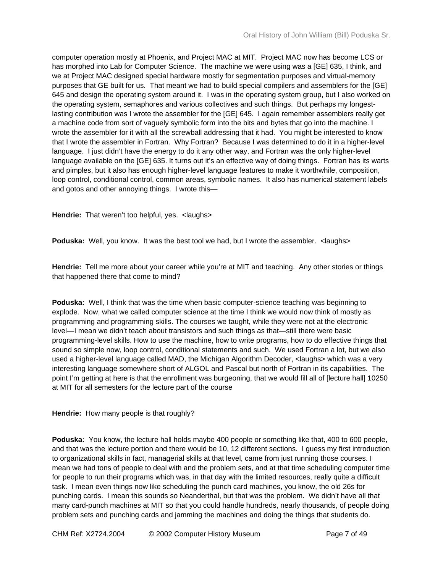computer operation mostly at Phoenix, and Project MAC at MIT. Project MAC now has become LCS or has morphed into Lab for Computer Science. The machine we were using was a [GE] 635, I think, and we at Project MAC designed special hardware mostly for segmentation purposes and virtual-memory purposes that GE built for us. That meant we had to build special compilers and assemblers for the [GE] 645 and design the operating system around it. I was in the operating system group, but I also worked on the operating system, semaphores and various collectives and such things. But perhaps my longestlasting contribution was I wrote the assembler for the [GE] 645. I again remember assemblers really get a machine code from sort of vaguely symbolic form into the bits and bytes that go into the machine. I wrote the assembler for it with all the screwball addressing that it had. You might be interested to know that I wrote the assembler in Fortran. Why Fortran? Because I was determined to do it in a higher-level language. I just didn't have the energy to do it any other way, and Fortran was the only higher-level language available on the [GE] 635. It turns out it's an effective way of doing things. Fortran has its warts and pimples, but it also has enough higher-level language features to make it worthwhile, composition, loop control, conditional control, common areas, symbolic names. It also has numerical statement labels and gotos and other annoying things. I wrote this—

Hendrie: That weren't too helpful, yes. <laughs>

**Poduska:** Well, you know. It was the best tool we had, but I wrote the assembler. <alaughs>

**Hendrie:** Tell me more about your career while you're at MIT and teaching. Any other stories or things that happened there that come to mind?

**Poduska:** Well, I think that was the time when basic computer-science teaching was beginning to explode. Now, what we called computer science at the time I think we would now think of mostly as programming and programming skills. The courses we taught, while they were not at the electronic level—I mean we didn't teach about transistors and such things as that—still there were basic programming-level skills. How to use the machine, how to write programs, how to do effective things that sound so simple now, loop control, conditional statements and such. We used Fortran a lot, but we also used a higher-level language called MAD, the Michigan Algorithm Decoder, <laughs> which was a very interesting language somewhere short of ALGOL and Pascal but north of Fortran in its capabilities. The point I'm getting at here is that the enrollment was burgeoning, that we would fill all of [lecture hall] 10250 at MIT for all semesters for the lecture part of the course

**Hendrie:** How many people is that roughly?

**Poduska:** You know, the lecture hall holds maybe 400 people or something like that, 400 to 600 people, and that was the lecture portion and there would be 10, 12 different sections. I guess my first introduction to organizational skills in fact, managerial skills at that level, came from just running those courses. I mean we had tons of people to deal with and the problem sets, and at that time scheduling computer time for people to run their programs which was, in that day with the limited resources, really quite a difficult task. I mean even things now like scheduling the punch card machines, you know, the old 26s for punching cards. I mean this sounds so Neanderthal, but that was the problem. We didn't have all that many card-punch machines at MIT so that you could handle hundreds, nearly thousands, of people doing problem sets and punching cards and jamming the machines and doing the things that students do.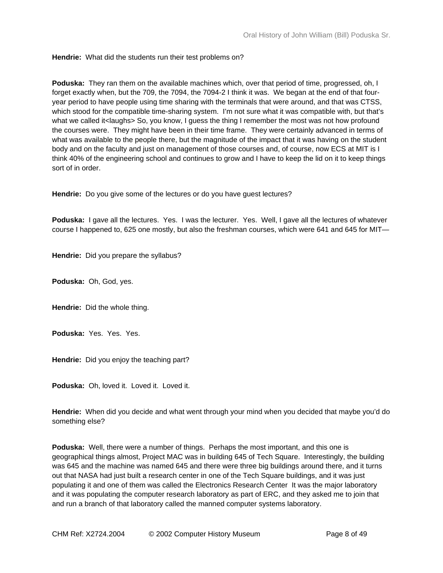**Hendrie:** What did the students run their test problems on?

**Poduska:** They ran them on the available machines which, over that period of time, progressed, oh, I forget exactly when, but the 709, the 7094, the 7094-2 I think it was. We began at the end of that fouryear period to have people using time sharing with the terminals that were around, and that was CTSS, which stood for the compatible time-sharing system. I'm not sure what it was compatible with, but that's what we called it<laughs> So, you know, I guess the thing I remember the most was not how profound the courses were. They might have been in their time frame. They were certainly advanced in terms of what was available to the people there, but the magnitude of the impact that it was having on the student body and on the faculty and just on management of those courses and, of course, now ECS at MIT is I think 40% of the engineering school and continues to grow and I have to keep the lid on it to keep things sort of in order.

**Hendrie:** Do you give some of the lectures or do you have guest lectures?

**Poduska:** I gave all the lectures. Yes. I was the lecturer. Yes. Well, I gave all the lectures of whatever course I happened to, 625 one mostly, but also the freshman courses, which were 641 and 645 for MIT—

**Hendrie:** Did you prepare the syllabus?

**Poduska:** Oh, God, yes.

**Hendrie:** Did the whole thing.

**Poduska:** Yes. Yes. Yes.

**Hendrie:** Did you enjoy the teaching part?

**Poduska:** Oh, loved it. Loved it. Loved it.

**Hendrie:** When did you decide and what went through your mind when you decided that maybe you'd do something else?

**Poduska:** Well, there were a number of things. Perhaps the most important, and this one is geographical things almost, Project MAC was in building 645 of Tech Square. Interestingly, the building was 645 and the machine was named 645 and there were three big buildings around there, and it turns out that NASA had just built a research center in one of the Tech Square buildings, and it was just populating it and one of them was called the Electronics Research Center It was the major laboratory and it was populating the computer research laboratory as part of ERC, and they asked me to join that and run a branch of that laboratory called the manned computer systems laboratory.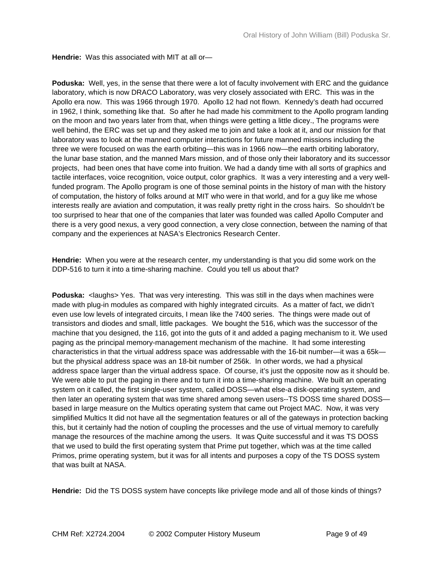**Hendrie:** Was this associated with MIT at all or—

**Poduska:** Well, yes, in the sense that there were a lot of faculty involvement with ERC and the guidance laboratory, which is now DRACO Laboratory, was very closely associated with ERC. This was in the Apollo era now. This was 1966 through 1970. Apollo 12 had not flown. Kennedy's death had occurred in 1962, I think, something like that. So after he had made his commitment to the Apollo program landing on the moon and two years later from that, when things were getting a little dicey., The programs were well behind, the ERC was set up and they asked me to join and take a look at it, and our mission for that laboratory was to look at the manned computer interactions for future manned missions including the three we were focused on was the earth orbiting—this was in 1966 now—the earth orbiting laboratory, the lunar base station, and the manned Mars mission, and of those only their laboratory and its successor projects, had been ones that have come into fruition. We had a dandy time with all sorts of graphics and tactile interfaces, voice recognition, voice output, color graphics. It was a very interesting and a very wellfunded program. The Apollo program is one of those seminal points in the history of man with the history of computation, the history of folks around at MIT who were in that world, and for a guy like me whose interests really are aviation and computation, it was really pretty right in the cross hairs. So shouldn't be too surprised to hear that one of the companies that later was founded was called Apollo Computer and there is a very good nexus, a very good connection, a very close connection, between the naming of that company and the experiences at NASA's Electronics Research Center.

**Hendrie:** When you were at the research center, my understanding is that you did some work on the DDP-516 to turn it into a time-sharing machine. Could you tell us about that?

**Poduska:** <laughs> Yes. That was very interesting. This was still in the days when machines were made with plug-in modules as compared with highly integrated circuits. As a matter of fact, we didn't even use low levels of integrated circuits, I mean like the 7400 series. The things were made out of transistors and diodes and small, little packages. We bought the 516, which was the successor of the machine that you designed, the 116, got into the guts of it and added a paging mechanism to it. We used paging as the principal memory-management mechanism of the machine. It had some interesting characteristics in that the virtual address space was addressable with the 16-bit number—it was a 65k but the physical address space was an 18-bit number of 256k. In other words, we had a physical address space larger than the virtual address space. Of course, it's just the opposite now as it should be. We were able to put the paging in there and to turn it into a time-sharing machine. We built an operating system on it called, the first single-user system, called DOSS—what else-a disk-operating system, and then later an operating system that was time shared among seven users--TS DOSS time shared DOSS based in large measure on the Multics operating system that came out Project MAC. Now, it was very simplified Multics It did not have all the segmentation features or all of the gateways in protection backing this, but it certainly had the notion of coupling the processes and the use of virtual memory to carefully manage the resources of the machine among the users. It was Quite successful and it was TS DOSS that we used to build the first operating system that Prime put together, which was at the time called Primos, prime operating system, but it was for all intents and purposes a copy of the TS DOSS system that was built at NASA.

**Hendrie:** Did the TS DOSS system have concepts like privilege mode and all of those kinds of things?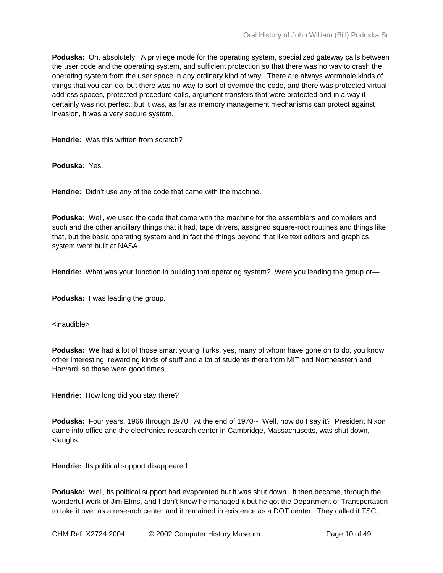**Poduska:** Oh, absolutely. A privilege mode for the operating system, specialized gateway calls between the user code and the operating system, and sufficient protection so that there was no way to crash the operating system from the user space in any ordinary kind of way. There are always wormhole kinds of things that you can do, but there was no way to sort of override the code, and there was protected virtual address spaces, protected procedure calls, argument transfers that were protected and in a way it certainly was not perfect, but it was, as far as memory management mechanisms can protect against invasion, it was a very secure system.

**Hendrie:** Was this written from scratch?

**Poduska:** Yes.

**Hendrie:** Didn't use any of the code that came with the machine.

**Poduska:** Well, we used the code that came with the machine for the assemblers and compilers and such and the other ancillary things that it had, tape drivers, assigned square-root routines and things like that, but the basic operating system and in fact the things beyond that like text editors and graphics system were built at NASA.

**Hendrie:** What was your function in building that operating system? Were you leading the group or—

**Poduska:** I was leading the group.

<inaudible>

**Poduska:** We had a lot of those smart young Turks, yes, many of whom have gone on to do, you know, other interesting, rewarding kinds of stuff and a lot of students there from MIT and Northeastern and Harvard, so those were good times.

**Hendrie:** How long did you stay there?

**Poduska:** Four years, 1966 through 1970. At the end of 1970-- Well, how do I say it? President Nixon came into office and the electronics research center in Cambridge, Massachusetts, was shut down, <laughs

**Hendrie:** Its political support disappeared.

**Poduska:** Well, its political support had evaporated but it was shut down. It then became, through the wonderful work of Jim Elms, and I don't know he managed it but he got the Department of Transportation to take it over as a research center and it remained in existence as a DOT center. They called it TSC,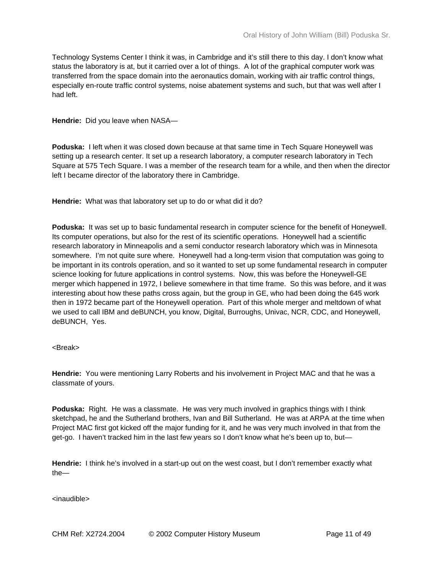Technology Systems Center I think it was, in Cambridge and it's still there to this day. I don't know what status the laboratory is at, but it carried over a lot of things. A lot of the graphical computer work was transferred from the space domain into the aeronautics domain, working with air traffic control things, especially en-route traffic control systems, noise abatement systems and such, but that was well after I had left.

**Hendrie:** Did you leave when NASA—

**Poduska:** I left when it was closed down because at that same time in Tech Square Honeywell was setting up a research center. It set up a research laboratory, a computer research laboratory in Tech Square at 575 Tech Square. I was a member of the research team for a while, and then when the director left I became director of the laboratory there in Cambridge.

**Hendrie:** What was that laboratory set up to do or what did it do?

**Poduska:** It was set up to basic fundamental research in computer science for the benefit of Honeywell. Its computer operations, but also for the rest of its scientific operations. Honeywell had a scientific research laboratory in Minneapolis and a semi conductor research laboratory which was in Minnesota somewhere. I'm not quite sure where. Honeywell had a long-term vision that computation was going to be important in its controls operation, and so it wanted to set up some fundamental research in computer science looking for future applications in control systems. Now, this was before the Honeywell-GE merger which happened in 1972, I believe somewhere in that time frame. So this was before, and it was interesting about how these paths cross again, but the group in GE, who had been doing the 645 work then in 1972 became part of the Honeywell operation. Part of this whole merger and meltdown of what we used to call IBM and deBUNCH, you know, Digital, Burroughs, Univac, NCR, CDC, and Honeywell, deBUNCH, Yes.

<Break>

**Hendrie:** You were mentioning Larry Roberts and his involvement in Project MAC and that he was a classmate of yours.

**Poduska:** Right. He was a classmate. He was very much involved in graphics things with I think sketchpad, he and the Sutherland brothers, Ivan and Bill Sutherland. He was at ARPA at the time when Project MAC first got kicked off the major funding for it, and he was very much involved in that from the get-go. I haven't tracked him in the last few years so I don't know what he's been up to, but—

**Hendrie:** I think he's involved in a start-up out on the west coast, but I don't remember exactly what the—

<inaudible>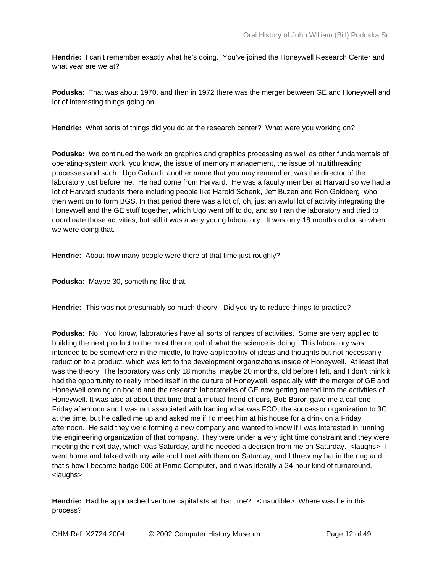**Hendrie:** I can't remember exactly what he's doing. You've joined the Honeywell Research Center and what year are we at?

**Poduska:** That was about 1970, and then in 1972 there was the merger between GE and Honeywell and lot of interesting things going on.

**Hendrie:** What sorts of things did you do at the research center? What were you working on?

**Poduska:** We continued the work on graphics and graphics processing as well as other fundamentals of operating-system work, you know, the issue of memory management, the issue of multithreading processes and such. Ugo Galiardi, another name that you may remember, was the director of the laboratory just before me. He had come from Harvard. He was a faculty member at Harvard so we had a lot of Harvard students there including people like Harold Schenk, Jeff Buzen and Ron Goldberg, who then went on to form BGS. In that period there was a lot of, oh, just an awful lot of activity integrating the Honeywell and the GE stuff together, which Ugo went off to do, and so I ran the laboratory and tried to coordinate those activities, but still it was a very young laboratory. It was only 18 months old or so when we were doing that.

**Hendrie:** About how many people were there at that time just roughly?

**Poduska:** Maybe 30, something like that.

**Hendrie:** This was not presumably so much theory. Did you try to reduce things to practice?

**Poduska:** No. You know, laboratories have all sorts of ranges of activities. Some are very applied to building the next product to the most theoretical of what the science is doing. This laboratory was intended to be somewhere in the middle, to have applicability of ideas and thoughts but not necessarily reduction to a product, which was left to the development organizations inside of Honeywell. At least that was the theory. The laboratory was only 18 months, maybe 20 months, old before I left, and I don't think it had the opportunity to really imbed itself in the culture of Honeywell, especially with the merger of GE and Honeywell coming on board and the research laboratories of GE now getting melted into the activities of Honeywell. It was also at about that time that a mutual friend of ours, Bob Baron gave me a call one Friday afternoon and I was not associated with framing what was FCO, the successor organization to 3C at the time, but he called me up and asked me if I'd meet him at his house for a drink on a Friday afternoon. He said they were forming a new company and wanted to know if I was interested in running the engineering organization of that company. They were under a very tight time constraint and they were meeting the next day, which was Saturday, and he needed a decision from me on Saturday. <laughs> I went home and talked with my wife and I met with them on Saturday, and I threw my hat in the ring and that's how I became badge 006 at Prime Computer, and it was literally a 24-hour kind of turnaround. <laughs>

Hendrie: Had he approached venture capitalists at that time? <inaudible> Where was he in this process?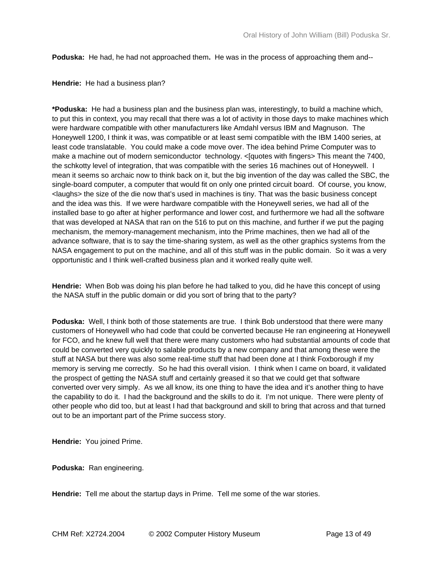**Poduska:** He had, he had not approached them**.** He was in the process of approaching them and--

**Hendrie:** He had a business plan?

**\*Poduska:** He had a business plan and the business plan was, interestingly, to build a machine which, to put this in context, you may recall that there was a lot of activity in those days to make machines which were hardware compatible with other manufacturers like Amdahl versus IBM and Magnuson. The Honeywell 1200, I think it was, was compatible or at least semi compatible with the IBM 1400 series, at least code translatable. You could make a code move over. The idea behind Prime Computer was to make a machine out of modern semiconductor technology. <[quotes with fingers> This meant the 7400, the schkotty level of integration, that was compatible with the series 16 machines out of Honeywell. I mean it seems so archaic now to think back on it, but the big invention of the day was called the SBC, the single-board computer, a computer that would fit on only one printed circuit board. Of course, you know, <laughs> the size of the die now that's used in machines is tiny. That was the basic business concept and the idea was this. If we were hardware compatible with the Honeywell series, we had all of the installed base to go after at higher performance and lower cost, and furthermore we had all the software that was developed at NASA that ran on the 516 to put on this machine, and further if we put the paging mechanism, the memory-management mechanism, into the Prime machines, then we had all of the advance software, that is to say the time-sharing system, as well as the other graphics systems from the NASA engagement to put on the machine, and all of this stuff was in the public domain. So it was a very opportunistic and I think well-crafted business plan and it worked really quite well.

**Hendrie:** When Bob was doing his plan before he had talked to you, did he have this concept of using the NASA stuff in the public domain or did you sort of bring that to the party?

**Poduska:** Well, I think both of those statements are true. I think Bob understood that there were many customers of Honeywell who had code that could be converted because He ran engineering at Honeywell for FCO, and he knew full well that there were many customers who had substantial amounts of code that could be converted very quickly to salable products by a new company and that among these were the stuff at NASA but there was also some real-time stuff that had been done at I think Foxborough if my memory is serving me correctly. So he had this overall vision. I think when I came on board, it validated the prospect of getting the NASA stuff and certainly greased it so that we could get that software converted over very simply. As we all know, its one thing to have the idea and it's another thing to have the capability to do it. I had the background and the skills to do it. I'm not unique. There were plenty of other people who did too, but at least I had that background and skill to bring that across and that turned out to be an important part of the Prime success story.

**Hendrie:** You joined Prime.

**Poduska:** Ran engineering.

**Hendrie:** Tell me about the startup days in Prime. Tell me some of the war stories.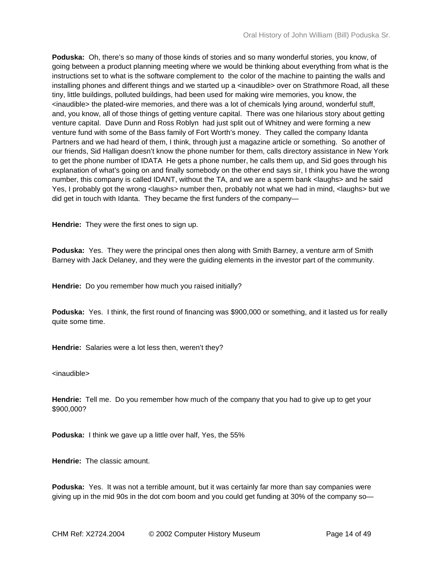**Poduska:** Oh, there's so many of those kinds of stories and so many wonderful stories, you know, of going between a product planning meeting where we would be thinking about everything from what is the instructions set to what is the software complement to the color of the machine to painting the walls and installing phones and different things and we started up a <inaudible> over on Strathmore Road, all these tiny, little buildings, polluted buildings, had been used for making wire memories, you know, the <inaudible> the plated-wire memories, and there was a lot of chemicals lying around, wonderful stuff, and, you know, all of those things of getting venture capital. There was one hilarious story about getting venture capital. Dave Dunn and Ross Roblyn had just split out of Whitney and were forming a new venture fund with some of the Bass family of Fort Worth's money. They called the company Idanta Partners and we had heard of them, I think, through just a magazine article or something. So another of our friends, Sid Halligan doesn't know the phone number for them, calls directory assistance in New York to get the phone number of IDATA He gets a phone number, he calls them up, and Sid goes through his explanation of what's going on and finally somebody on the other end says sir, I think you have the wrong number, this company is called IDANT, without the TA, and we are a sperm bank < laughs> and he said Yes, I probably got the wrong <laughs> number then, probably not what we had in mind, <laughs> but we did get in touch with Idanta. They became the first funders of the company—

**Hendrie:** They were the first ones to sign up.

**Poduska:** Yes. They were the principal ones then along with Smith Barney, a venture arm of Smith Barney with Jack Delaney, and they were the guiding elements in the investor part of the community.

**Hendrie:** Do you remember how much you raised initially?

**Poduska:** Yes. I think, the first round of financing was \$900,000 or something, and it lasted us for really quite some time.

**Hendrie:** Salaries were a lot less then, weren't they?

<inaudible>

**Hendrie:** Tell me. Do you remember how much of the company that you had to give up to get your \$900,000?

**Poduska:** I think we gave up a little over half, Yes, the 55%

**Hendrie:** The classic amount.

**Poduska:** Yes. It was not a terrible amount, but it was certainly far more than say companies were giving up in the mid 90s in the dot com boom and you could get funding at 30% of the company so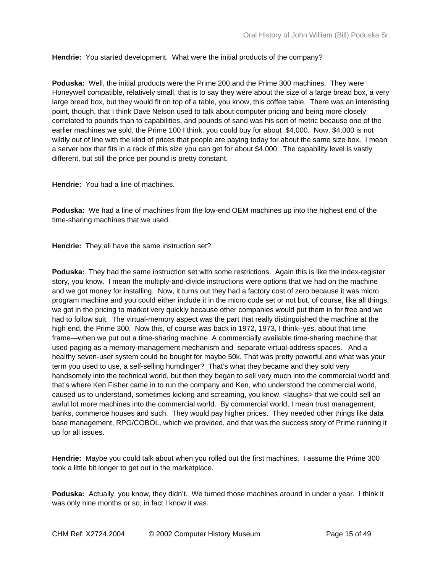**Hendrie:** You started development. What were the initial products of the company?

**Poduska:** Well, the initial products were the Prime 200 and the Prime 300 machines. They were Honeywell compatible, relatively small, that is to say they were about the size of a large bread box, a very large bread box, but they would fit on top of a table, you know, this coffee table. There was an interesting point, though, that I think Dave Nelson used to talk about computer pricing and being more closely correlated to pounds than to capabilities, and pounds of sand was his sort of metric because one of the earlier machines we sold, the Prime 100 I think, you could buy for about \$4,000. Now, \$4,000 is not wildly out of line with the kind of prices that people are paying today for about the same size box. I mean a server box that fits in a rack of this size you can get for about \$4,000. The capability level is vastly different, but still the price per pound is pretty constant.

**Hendrie:** You had a line of machines.

**Poduska:** We had a line of machines from the low-end OEM machines up into the highest end of the time-sharing machines that we used.

**Hendrie:** They all have the same instruction set?

**Poduska:** They had the same instruction set with some restrictions. Again this is like the index-register story, you know. I mean the multiply-and-divide instructions were options that we had on the machine and we got money for installing. Now, it turns out they had a factory cost of zero because it was micro program machine and you could either include it in the micro code set or not but, of course, like all things, we got in the pricing to market very quickly because other companies would put them in for free and we had to follow suit. The virtual-memory aspect was the part that really distinguished the machine at the high end, the Prime 300. Now this, of course was back in 1972, 1973, I think--yes, about that time frame—when we put out a time-sharing machine A commercially available time-sharing machine that used paging as a memory-management mechanism and separate virtual-address spaces. And a healthy seven-user system could be bought for maybe 50k. That was pretty powerful and what was your term you used to use, a self-selling humdinger? That's what they became and they sold very handsomely into the technical world, but then they began to sell very much into the commercial world and that's where Ken Fisher came in to run the company and Ken, who understood the commercial world, caused us to understand, sometimes kicking and screaming, you know, <laughs> that we could sell an awful lot more machines into the commercial world. By commercial world, I mean trust management, banks, commerce houses and such. They would pay higher prices. They needed other things like data base management, RPG/COBOL, which we provided, and that was the success story of Prime running it up for all issues.

**Hendrie:** Maybe you could talk about when you rolled out the first machines. I assume the Prime 300 took a little bit longer to get out in the marketplace.

**Poduska:** Actually, you know, they didn't. We turned those machines around in under a year. I think it was only nine months or so; in fact I know it was.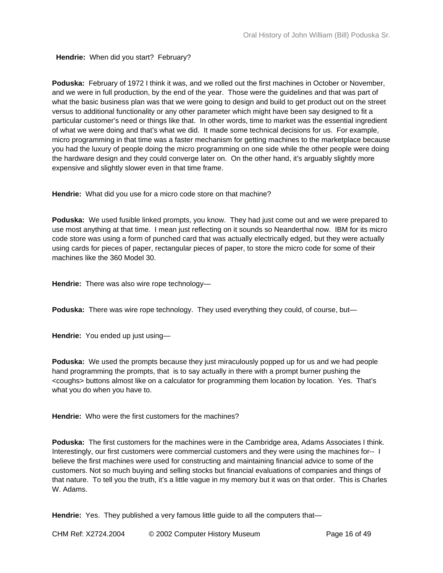**Hendrie:** When did you start? February?

**Poduska:** February of 1972 I think it was, and we rolled out the first machines in October or November, and we were in full production, by the end of the year. Those were the guidelines and that was part of what the basic business plan was that we were going to design and build to get product out on the street versus to additional functionality or any other parameter which might have been say designed to fit a particular customer's need or things like that. In other words, time to market was the essential ingredient of what we were doing and that's what we did. It made some technical decisions for us. For example, micro programming in that time was a faster mechanism for getting machines to the marketplace because you had the luxury of people doing the micro programming on one side while the other people were doing the hardware design and they could converge later on. On the other hand, it's arguably slightly more expensive and slightly slower even in that time frame.

**Hendrie:** What did you use for a micro code store on that machine?

**Poduska:** We used fusible linked prompts, you know. They had just come out and we were prepared to use most anything at that time. I mean just reflecting on it sounds so Neanderthal now. IBM for its micro code store was using a form of punched card that was actually electrically edged, but they were actually using cards for pieces of paper, rectangular pieces of paper, to store the micro code for some of their machines like the 360 Model 30.

**Hendrie:** There was also wire rope technology—

**Poduska:** There was wire rope technology. They used everything they could, of course, but—

**Hendrie:** You ended up just using—

**Poduska:** We used the prompts because they just miraculously popped up for us and we had people hand programming the prompts, that is to say actually in there with a prompt burner pushing the <coughs> buttons almost like on a calculator for programming them location by location. Yes. That's what you do when you have to.

**Hendrie:** Who were the first customers for the machines?

**Poduska:** The first customers for the machines were in the Cambridge area, Adams Associates I think. Interestingly, our first customers were commercial customers and they were using the machines for-- I believe the first machines were used for constructing and maintaining financial advice to some of the customers. Not so much buying and selling stocks but financial evaluations of companies and things of that nature. To tell you the truth, it's a little vague in my memory but it was on that order. This is Charles W. Adams.

**Hendrie:** Yes. They published a very famous little guide to all the computers that—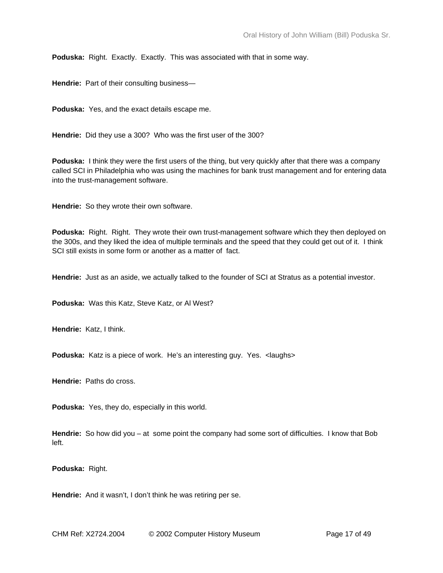**Poduska:** Right. Exactly. Exactly. This was associated with that in some way.

**Hendrie:** Part of their consulting business—

**Poduska:** Yes, and the exact details escape me.

**Hendrie:** Did they use a 300? Who was the first user of the 300?

**Poduska:** I think they were the first users of the thing, but very quickly after that there was a company called SCI in Philadelphia who was using the machines for bank trust management and for entering data into the trust-management software.

**Hendrie:** So they wrote their own software.

**Poduska:** Right. Right. They wrote their own trust-management software which they then deployed on the 300s, and they liked the idea of multiple terminals and the speed that they could get out of it. I think SCI still exists in some form or another as a matter of fact.

**Hendrie:** Just as an aside, we actually talked to the founder of SCI at Stratus as a potential investor.

**Poduska:** Was this Katz, Steve Katz, or Al West?

**Hendrie:** Katz, I think.

**Poduska:** Katz is a piece of work. He's an interesting guy. Yes. < laughs>

**Hendrie:** Paths do cross.

**Poduska:** Yes, they do, especially in this world.

**Hendrie:** So how did you – at some point the company had some sort of difficulties. I know that Bob left.

**Poduska:** Right.

**Hendrie:** And it wasn't, I don't think he was retiring per se.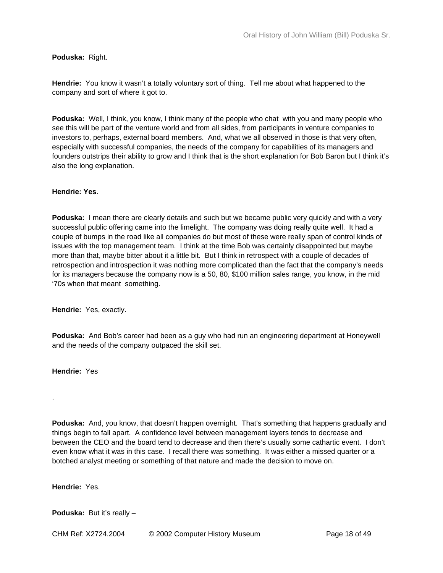**Poduska:** Right.

**Hendrie:** You know it wasn't a totally voluntary sort of thing. Tell me about what happened to the company and sort of where it got to.

**Poduska:** Well, I think, you know, I think many of the people who chat with you and many people who see this will be part of the venture world and from all sides, from participants in venture companies to investors to, perhaps, external board members. And, what we all observed in those is that very often, especially with successful companies, the needs of the company for capabilities of its managers and founders outstrips their ability to grow and I think that is the short explanation for Bob Baron but I think it's also the long explanation.

## **Hendrie: Yes**.

**Poduska:** I mean there are clearly details and such but we became public very quickly and with a very successful public offering came into the limelight. The company was doing really quite well. It had a couple of bumps in the road like all companies do but most of these were really span of control kinds of issues with the top management team. I think at the time Bob was certainly disappointed but maybe more than that, maybe bitter about it a little bit. But I think in retrospect with a couple of decades of retrospection and introspection it was nothing more complicated than the fact that the company's needs for its managers because the company now is a 50, 80, \$100 million sales range, you know, in the mid '70s when that meant something.

**Hendrie:** Yes, exactly.

**Poduska:** And Bob's career had been as a guy who had run an engineering department at Honeywell and the needs of the company outpaced the skill set.

**Hendrie:** Yes

.

**Poduska:** And, you know, that doesn't happen overnight. That's something that happens gradually and things begin to fall apart. A confidence level between management layers tends to decrease and between the CEO and the board tend to decrease and then there's usually some cathartic event. I don't even know what it was in this case. I recall there was something. It was either a missed quarter or a botched analyst meeting or something of that nature and made the decision to move on.

**Hendrie:** Yes.

**Poduska:** But it's really –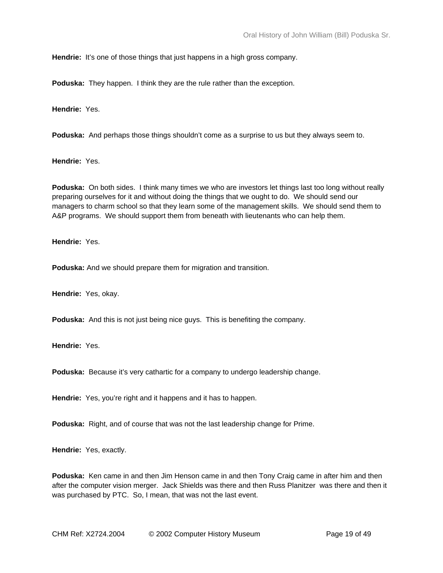**Hendrie:** It's one of those things that just happens in a high gross company.

**Poduska:** They happen. I think they are the rule rather than the exception.

**Hendrie:** Yes.

**Poduska:** And perhaps those things shouldn't come as a surprise to us but they always seem to.

**Hendrie:** Yes.

**Poduska:** On both sides. I think many times we who are investors let things last too long without really preparing ourselves for it and without doing the things that we ought to do. We should send our managers to charm school so that they learn some of the management skills. We should send them to A&P programs. We should support them from beneath with lieutenants who can help them.

**Hendrie:** Yes.

**Poduska:** And we should prepare them for migration and transition.

**Hendrie:** Yes, okay.

**Poduska:** And this is not just being nice guys. This is benefiting the company.

**Hendrie:** Yes.

**Poduska:** Because it's very cathartic for a company to undergo leadership change.

**Hendrie:** Yes, you're right and it happens and it has to happen.

**Poduska:** Right, and of course that was not the last leadership change for Prime.

**Hendrie:** Yes, exactly.

**Poduska:** Ken came in and then Jim Henson came in and then Tony Craig came in after him and then after the computer vision merger. Jack Shields was there and then Russ Planitzer was there and then it was purchased by PTC. So, I mean, that was not the last event.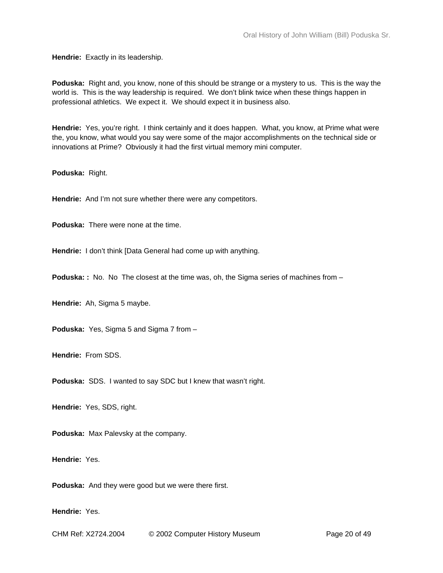**Hendrie:** Exactly in its leadership.

**Poduska:** Right and, you know, none of this should be strange or a mystery to us. This is the way the world is. This is the way leadership is required. We don't blink twice when these things happen in professional athletics. We expect it. We should expect it in business also.

**Hendrie:** Yes, you're right. I think certainly and it does happen. What, you know, at Prime what were the, you know, what would you say were some of the major accomplishments on the technical side or innovations at Prime? Obviously it had the first virtual memory mini computer.

**Poduska:** Right.

**Hendrie:** And I'm not sure whether there were any competitors.

**Poduska:** There were none at the time.

**Hendrie:** I don't think [Data General had come up with anything.

**Poduska: :** No. No The closest at the time was, oh, the Sigma series of machines from –

**Hendrie:** Ah, Sigma 5 maybe.

**Poduska:** Yes, Sigma 5 and Sigma 7 from –

**Hendrie:** From SDS.

**Poduska:** SDS. I wanted to say SDC but I knew that wasn't right.

**Hendrie:** Yes, SDS, right.

**Poduska:** Max Palevsky at the company.

**Hendrie:** Yes.

**Poduska:** And they were good but we were there first.

**Hendrie:** Yes.

CHM Ref: X2724.2004 © 2002 Computer History Museum Page 20 of 49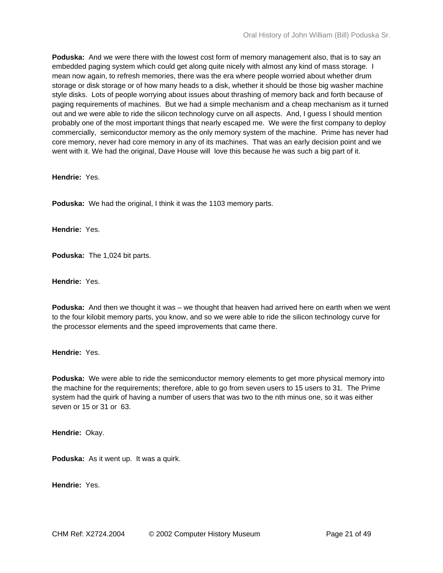**Poduska:** And we were there with the lowest cost form of memory management also, that is to say an embedded paging system which could get along quite nicely with almost any kind of mass storage. I mean now again, to refresh memories, there was the era where people worried about whether drum storage or disk storage or of how many heads to a disk, whether it should be those big washer machine style disks. Lots of people worrying about issues about thrashing of memory back and forth because of paging requirements of machines. But we had a simple mechanism and a cheap mechanism as it turned out and we were able to ride the silicon technology curve on all aspects. And, I guess I should mention probably one of the most important things that nearly escaped me. We were the first company to deploy commercially, semiconductor memory as the only memory system of the machine. Prime has never had core memory, never had core memory in any of its machines. That was an early decision point and we went with it. We had the original, Dave House will love this because he was such a big part of it.

**Hendrie:** Yes.

**Poduska:** We had the original, I think it was the 1103 memory parts.

**Hendrie:** Yes.

**Poduska:** The 1,024 bit parts.

**Hendrie:** Yes.

**Poduska:** And then we thought it was – we thought that heaven had arrived here on earth when we went to the four kilobit memory parts, you know, and so we were able to ride the silicon technology curve for the processor elements and the speed improvements that came there.

**Hendrie:** Yes.

**Poduska:** We were able to ride the semiconductor memory elements to get more physical memory into the machine for the requirements; therefore, able to go from seven users to 15 users to 31. The Prime system had the quirk of having a number of users that was two to the nth minus one, so it was either seven or 15 or 31 or 63.

**Hendrie:** Okay.

**Poduska:** As it went up. It was a quirk.

**Hendrie:** Yes.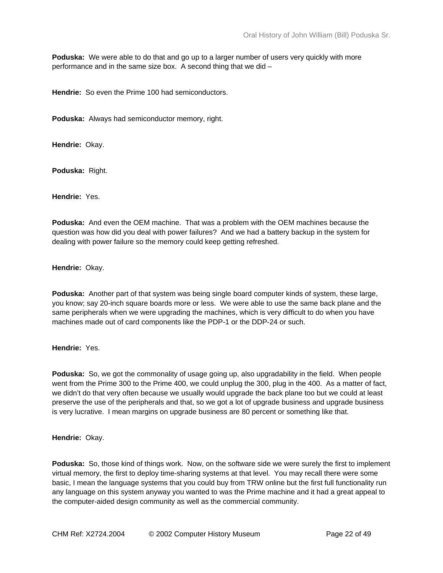**Poduska:** We were able to do that and go up to a larger number of users very quickly with more performance and in the same size box. A second thing that we did –

**Hendrie:** So even the Prime 100 had semiconductors.

**Poduska:** Always had semiconductor memory, right.

**Hendrie:** Okay.

**Poduska:** Right.

**Hendrie:** Yes.

**Poduska:** And even the OEM machine. That was a problem with the OEM machines because the question was how did you deal with power failures? And we had a battery backup in the system for dealing with power failure so the memory could keep getting refreshed.

**Hendrie:** Okay.

**Poduska:** Another part of that system was being single board computer kinds of system, these large, you know; say 20-inch square boards more or less. We were able to use the same back plane and the same peripherals when we were upgrading the machines, which is very difficult to do when you have machines made out of card components like the PDP-1 or the DDP-24 or such.

**Hendrie:** Yes.

**Poduska:** So, we got the commonality of usage going up, also upgradability in the field. When people went from the Prime 300 to the Prime 400, we could unplug the 300, plug in the 400. As a matter of fact, we didn't do that very often because we usually would upgrade the back plane too but we could at least preserve the use of the peripherals and that, so we got a lot of upgrade business and upgrade business is very lucrative. I mean margins on upgrade business are 80 percent or something like that.

**Hendrie:** Okay.

**Poduska:** So, those kind of things work. Now, on the software side we were surely the first to implement virtual memory, the first to deploy time-sharing systems at that level. You may recall there were some basic, I mean the language systems that you could buy from TRW online but the first full functionality run any language on this system anyway you wanted to was the Prime machine and it had a great appeal to the computer-aided design community as well as the commercial community.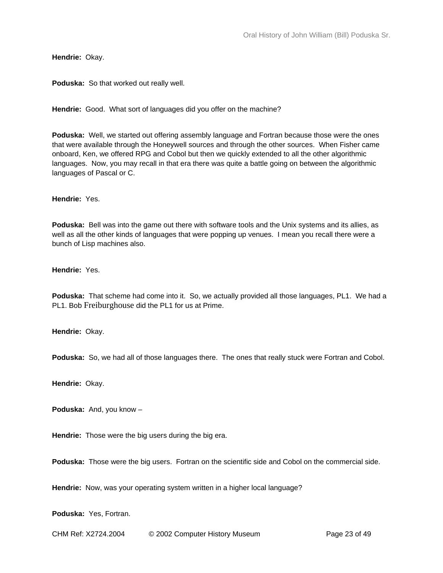**Hendrie:** Okay.

**Poduska:** So that worked out really well.

**Hendrie:** Good. What sort of languages did you offer on the machine?

**Poduska:** Well, we started out offering assembly language and Fortran because those were the ones that were available through the Honeywell sources and through the other sources. When Fisher came onboard, Ken, we offered RPG and Cobol but then we quickly extended to all the other algorithmic languages. Now, you may recall in that era there was quite a battle going on between the algorithmic languages of Pascal or C.

**Hendrie:** Yes.

**Poduska:** Bell was into the game out there with software tools and the Unix systems and its allies, as well as all the other kinds of languages that were popping up venues. I mean you recall there were a bunch of Lisp machines also.

**Hendrie:** Yes.

**Poduska:** That scheme had come into it. So, we actually provided all those languages, PL1. We had a PL1. Bob Freiburghouse did the PL1 for us at Prime.

**Hendrie:** Okay.

**Poduska:** So, we had all of those languages there. The ones that really stuck were Fortran and Cobol.

**Hendrie:** Okay.

**Poduska:** And, you know –

**Hendrie:** Those were the big users during the big era.

**Poduska:** Those were the big users. Fortran on the scientific side and Cobol on the commercial side.

**Hendrie:** Now, was your operating system written in a higher local language?

**Poduska:** Yes, Fortran.

CHM Ref: X2724.2004 © 2002 Computer History Museum Page 23 of 49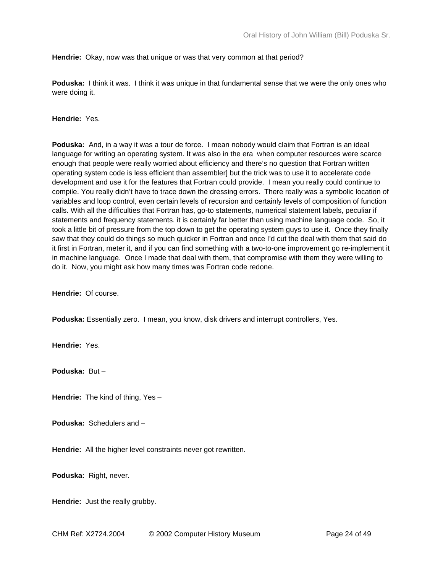**Hendrie:** Okay, now was that unique or was that very common at that period?

**Poduska:** I think it was. I think it was unique in that fundamental sense that we were the only ones who were doing it.

**Hendrie:** Yes.

**Poduska:** And, in a way it was a tour de force. I mean nobody would claim that Fortran is an ideal language for writing an operating system. It was also in the era when computer resources were scarce enough that people were really worried about efficiency and there's no question that Fortran written operating system code is less efficient than assembler] but the trick was to use it to accelerate code development and use it for the features that Fortran could provide. I mean you really could continue to compile. You really didn't have to trace down the dressing errors. There really was a symbolic location of variables and loop control, even certain levels of recursion and certainly levels of composition of function calls. With all the difficulties that Fortran has, go-to statements, numerical statement labels, peculiar if statements and frequency statements. it is certainly far better than using machine language code. So, it took a little bit of pressure from the top down to get the operating system guys to use it. Once they finally saw that they could do things so much quicker in Fortran and once I'd cut the deal with them that said do it first in Fortran, meter it, and if you can find something with a two-to-one improvement go re-implement it in machine language. Once I made that deal with them, that compromise with them they were willing to do it. Now, you might ask how many times was Fortran code redone.

**Hendrie:** Of course.

**Poduska:** Essentially zero. I mean, you know, disk drivers and interrupt controllers, Yes.

**Hendrie:** Yes.

**Poduska:** But –

**Hendrie:** The kind of thing, Yes –

**Poduska:** Schedulers and –

**Hendrie:** All the higher level constraints never got rewritten.

**Poduska:** Right, never.

**Hendrie:** Just the really grubby.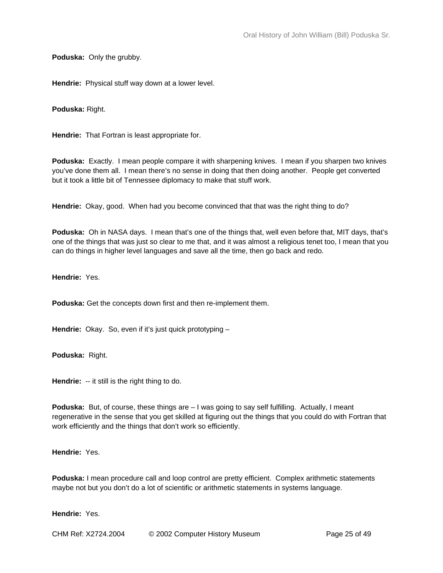**Poduska:** Only the grubby.

**Hendrie:** Physical stuff way down at a lower level.

**Poduska:** Right.

**Hendrie:** That Fortran is least appropriate for.

**Poduska:** Exactly. I mean people compare it with sharpening knives. I mean if you sharpen two knives you've done them all. I mean there's no sense in doing that then doing another. People get converted but it took a little bit of Tennessee diplomacy to make that stuff work.

**Hendrie:** Okay, good. When had you become convinced that that was the right thing to do?

**Poduska:** Oh in NASA days. I mean that's one of the things that, well even before that, MIT days, that's one of the things that was just so clear to me that, and it was almost a religious tenet too, I mean that you can do things in higher level languages and save all the time, then go back and redo.

**Hendrie:** Yes.

**Poduska:** Get the concepts down first and then re-implement them.

**Hendrie:** Okay. So, even if it's just quick prototyping –

**Poduska:** Right.

**Hendrie:** -- it still is the right thing to do.

**Poduska:** But, of course, these things are – I was going to say self fulfilling. Actually, I meant regenerative in the sense that you get skilled at figuring out the things that you could do with Fortran that work efficiently and the things that don't work so efficiently.

**Hendrie:** Yes.

**Poduska:** I mean procedure call and loop control are pretty efficient. Complex arithmetic statements maybe not but you don't do a lot of scientific or arithmetic statements in systems language.

**Hendrie:** Yes.

CHM Ref: X2724.2004 © 2002 Computer History Museum Page 25 of 49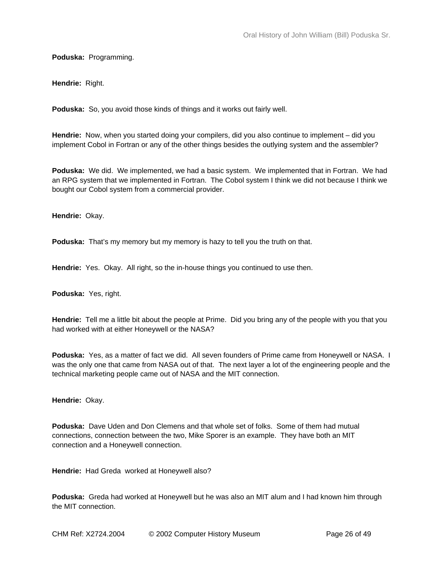**Poduska:** Programming.

**Hendrie:** Right.

**Poduska:** So, you avoid those kinds of things and it works out fairly well.

**Hendrie:** Now, when you started doing your compilers, did you also continue to implement – did you implement Cobol in Fortran or any of the other things besides the outlying system and the assembler?

**Poduska:** We did. We implemented, we had a basic system. We implemented that in Fortran. We had an RPG system that we implemented in Fortran. The Cobol system I think we did not because I think we bought our Cobol system from a commercial provider.

**Hendrie:** Okay.

**Poduska:** That's my memory but my memory is hazy to tell you the truth on that.

**Hendrie:** Yes. Okay. All right, so the in-house things you continued to use then.

**Poduska:** Yes, right.

**Hendrie:** Tell me a little bit about the people at Prime. Did you bring any of the people with you that you had worked with at either Honeywell or the NASA?

**Poduska:** Yes, as a matter of fact we did. All seven founders of Prime came from Honeywell or NASA. I was the only one that came from NASA out of that. The next layer a lot of the engineering people and the technical marketing people came out of NASA and the MIT connection.

**Hendrie:** Okay.

**Poduska:** Dave Uden and Don Clemens and that whole set of folks. Some of them had mutual connections, connection between the two, Mike Sporer is an example. They have both an MIT connection and a Honeywell connection.

**Hendrie:** Had Greda worked at Honeywell also?

**Poduska:** Greda had worked at Honeywell but he was also an MIT alum and I had known him through the MIT connection.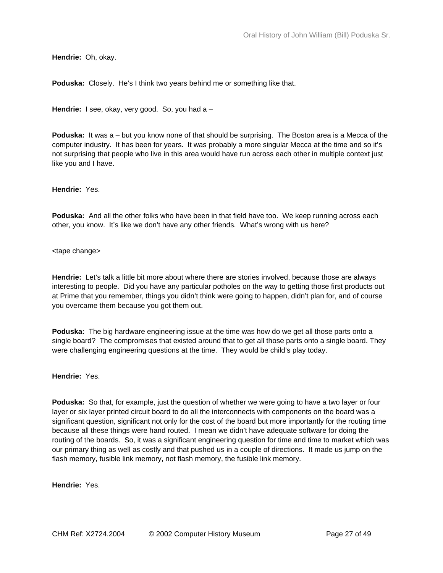**Hendrie:** Oh, okay.

**Poduska:** Closely. He's I think two years behind me or something like that.

**Hendrie:** I see, okay, very good. So, you had a –

**Poduska:** It was a – but you know none of that should be surprising. The Boston area is a Mecca of the computer industry. It has been for years. It was probably a more singular Mecca at the time and so it's not surprising that people who live in this area would have run across each other in multiple context just like you and I have.

**Hendrie:** Yes.

**Poduska:** And all the other folks who have been in that field have too. We keep running across each other, you know. It's like we don't have any other friends. What's wrong with us here?

<tape change>

**Hendrie:** Let's talk a little bit more about where there are stories involved, because those are always interesting to people. Did you have any particular potholes on the way to getting those first products out at Prime that you remember, things you didn't think were going to happen, didn't plan for, and of course you overcame them because you got them out.

**Poduska:** The big hardware engineering issue at the time was how do we get all those parts onto a single board? The compromises that existed around that to get all those parts onto a single board. They were challenging engineering questions at the time. They would be child's play today.

**Hendrie:** Yes.

**Poduska:** So that, for example, just the question of whether we were going to have a two layer or four layer or six layer printed circuit board to do all the interconnects with components on the board was a significant question, significant not only for the cost of the board but more importantly for the routing time because all these things were hand routed. I mean we didn't have adequate software for doing the routing of the boards. So, it was a significant engineering question for time and time to market which was our primary thing as well as costly and that pushed us in a couple of directions. It made us jump on the flash memory, fusible link memory, not flash memory, the fusible link memory.

**Hendrie:** Yes.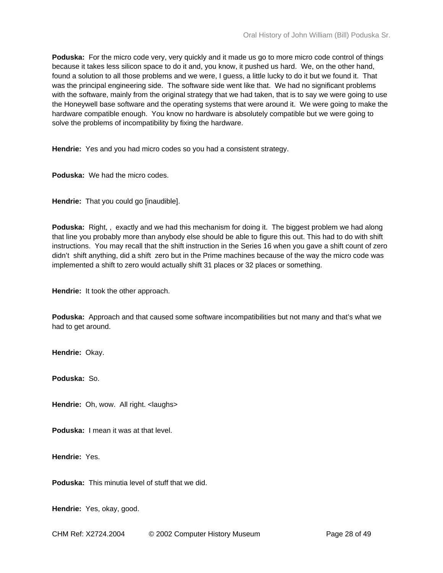**Poduska:** For the micro code very, very quickly and it made us go to more micro code control of things because it takes less silicon space to do it and, you know, it pushed us hard. We, on the other hand, found a solution to all those problems and we were, I guess, a little lucky to do it but we found it. That was the principal engineering side. The software side went like that. We had no significant problems with the software, mainly from the original strategy that we had taken, that is to say we were going to use the Honeywell base software and the operating systems that were around it. We were going to make the hardware compatible enough. You know no hardware is absolutely compatible but we were going to solve the problems of incompatibility by fixing the hardware.

**Hendrie:** Yes and you had micro codes so you had a consistent strategy.

**Poduska:** We had the micro codes.

**Hendrie:** That you could go [inaudible].

**Poduska:** Right, , exactly and we had this mechanism for doing it. The biggest problem we had along that line you probably more than anybody else should be able to figure this out. This had to do with shift instructions. You may recall that the shift instruction in the Series 16 when you gave a shift count of zero didn't shift anything, did a shift zero but in the Prime machines because of the way the micro code was implemented a shift to zero would actually shift 31 places or 32 places or something.

**Hendrie:** It took the other approach.

**Poduska:** Approach and that caused some software incompatibilities but not many and that's what we had to get around.

**Hendrie:** Okay.

**Poduska:** So.

**Hendrie:** Oh, wow. All right. <alaughs>

**Poduska:** I mean it was at that level.

**Hendrie:** Yes.

**Poduska:** This minutia level of stuff that we did.

**Hendrie:** Yes, okay, good.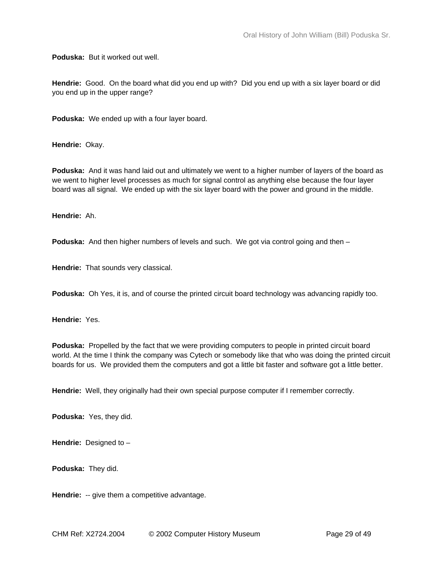**Poduska:** But it worked out well.

**Hendrie:** Good. On the board what did you end up with? Did you end up with a six layer board or did you end up in the upper range?

**Poduska:** We ended up with a four layer board.

**Hendrie:** Okay.

**Poduska:** And it was hand laid out and ultimately we went to a higher number of layers of the board as we went to higher level processes as much for signal control as anything else because the four layer board was all signal. We ended up with the six layer board with the power and ground in the middle.

**Hendrie:** Ah.

**Poduska:** And then higher numbers of levels and such. We got via control going and then –

**Hendrie:** That sounds very classical.

**Poduska:** Oh Yes, it is, and of course the printed circuit board technology was advancing rapidly too.

**Hendrie:** Yes.

**Poduska:** Propelled by the fact that we were providing computers to people in printed circuit board world. At the time I think the company was Cytech or somebody like that who was doing the printed circuit boards for us. We provided them the computers and got a little bit faster and software got a little better.

**Hendrie:** Well, they originally had their own special purpose computer if I remember correctly.

**Poduska:** Yes, they did.

**Hendrie:** Designed to -

**Poduska:** They did.

**Hendrie:** -- give them a competitive advantage.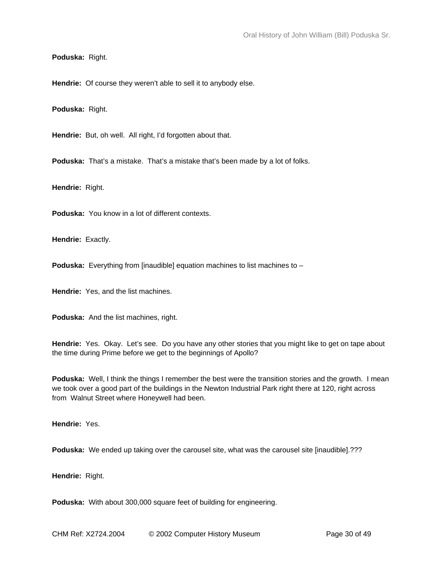**Poduska:** Right.

**Hendrie:** Of course they weren't able to sell it to anybody else.

**Poduska:** Right.

**Hendrie:** But, oh well. All right, I'd forgotten about that.

**Poduska:** That's a mistake. That's a mistake that's been made by a lot of folks.

**Hendrie:** Right.

**Poduska:** You know in a lot of different contexts.

**Hendrie:** Exactly.

**Poduska:** Everything from [inaudible] equation machines to list machines to –

**Hendrie:** Yes, and the list machines.

**Poduska:** And the list machines, right.

**Hendrie:** Yes. Okay. Let's see. Do you have any other stories that you might like to get on tape about the time during Prime before we get to the beginnings of Apollo?

**Poduska:** Well, I think the things I remember the best were the transition stories and the growth. I mean we took over a good part of the buildings in the Newton Industrial Park right there at 120, right across from Walnut Street where Honeywell had been.

**Hendrie:** Yes.

**Poduska:** We ended up taking over the carousel site, what was the carousel site [inaudible].???

**Hendrie:** Right.

**Poduska:** With about 300,000 square feet of building for engineering.

CHM Ref: X2724.2004 © 2002 Computer History Museum Page 30 of 49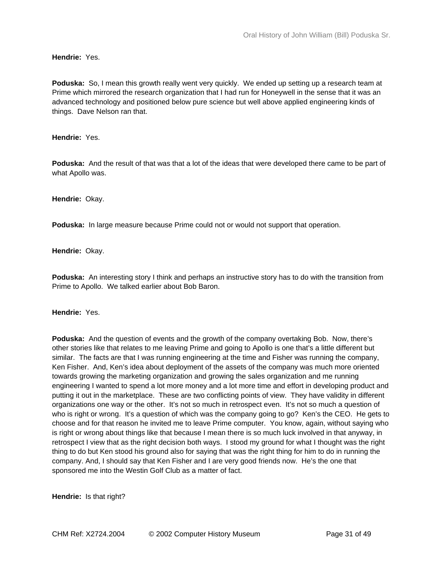**Hendrie:** Yes.

**Poduska:** So, I mean this growth really went very quickly. We ended up setting up a research team at Prime which mirrored the research organization that I had run for Honeywell in the sense that it was an advanced technology and positioned below pure science but well above applied engineering kinds of things. Dave Nelson ran that.

**Hendrie:** Yes.

**Poduska:** And the result of that was that a lot of the ideas that were developed there came to be part of what Apollo was.

**Hendrie:** Okay.

**Poduska:** In large measure because Prime could not or would not support that operation.

**Hendrie:** Okay.

**Poduska:** An interesting story I think and perhaps an instructive story has to do with the transition from Prime to Apollo. We talked earlier about Bob Baron.

**Hendrie:** Yes.

**Poduska:** And the question of events and the growth of the company overtaking Bob. Now, there's other stories like that relates to me leaving Prime and going to Apollo is one that's a little different but similar. The facts are that I was running engineering at the time and Fisher was running the company, Ken Fisher. And, Ken's idea about deployment of the assets of the company was much more oriented towards growing the marketing organization and growing the sales organization and me running engineering I wanted to spend a lot more money and a lot more time and effort in developing product and putting it out in the marketplace. These are two conflicting points of view. They have validity in different organizations one way or the other. It's not so much in retrospect even. It's not so much a question of who is right or wrong. It's a question of which was the company going to go? Ken's the CEO. He gets to choose and for that reason he invited me to leave Prime computer. You know, again, without saying who is right or wrong about things like that because I mean there is so much luck involved in that anyway, in retrospect I view that as the right decision both ways. I stood my ground for what I thought was the right thing to do but Ken stood his ground also for saying that was the right thing for him to do in running the company. And, I should say that Ken Fisher and I are very good friends now. He's the one that sponsored me into the Westin Golf Club as a matter of fact.

**Hendrie:** Is that right?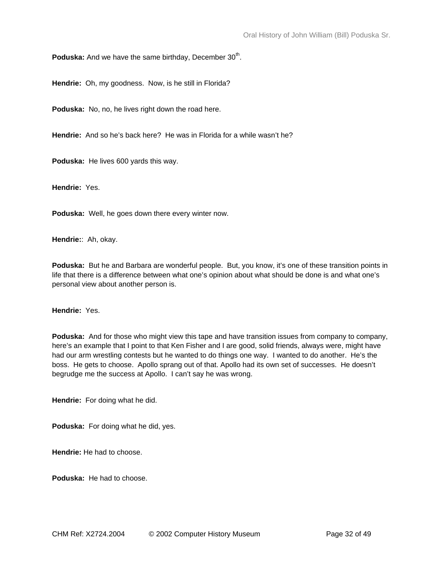Poduska: And we have the same birthday, December 30<sup>th</sup>.

**Hendrie:** Oh, my goodness. Now, is he still in Florida?

**Poduska:** No, no, he lives right down the road here.

**Hendrie:** And so he's back here? He was in Florida for a while wasn't he?

**Poduska:** He lives 600 yards this way.

**Hendrie:** Yes.

**Poduska:** Well, he goes down there every winter now.

**Hendrie:**: Ah, okay.

**Poduska:** But he and Barbara are wonderful people. But, you know, it's one of these transition points in life that there is a difference between what one's opinion about what should be done is and what one's personal view about another person is.

**Hendrie:** Yes.

**Poduska:** And for those who might view this tape and have transition issues from company to company, here's an example that I point to that Ken Fisher and I are good, solid friends, always were, might have had our arm wrestling contests but he wanted to do things one way. I wanted to do another. He's the boss. He gets to choose. Apollo sprang out of that. Apollo had its own set of successes. He doesn't begrudge me the success at Apollo. I can't say he was wrong.

**Hendrie:** For doing what he did.

**Poduska:** For doing what he did, yes.

**Hendrie:** He had to choose.

**Poduska:** He had to choose.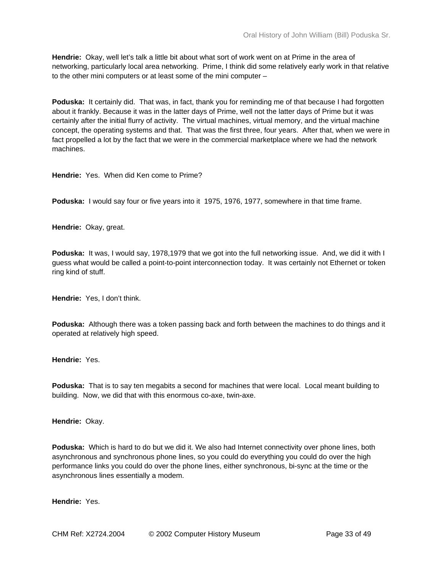**Hendrie:** Okay, well let's talk a little bit about what sort of work went on at Prime in the area of networking, particularly local area networking. Prime, I think did some relatively early work in that relative to the other mini computers or at least some of the mini computer –

**Poduska:** It certainly did. That was, in fact, thank you for reminding me of that because I had forgotten about it frankly. Because it was in the latter days of Prime, well not the latter days of Prime but it was certainly after the initial flurry of activity. The virtual machines, virtual memory, and the virtual machine concept, the operating systems and that. That was the first three, four years. After that, when we were in fact propelled a lot by the fact that we were in the commercial marketplace where we had the network machines.

**Hendrie:** Yes. When did Ken come to Prime?

**Poduska:** I would say four or five years into it 1975, 1976, 1977, somewhere in that time frame.

**Hendrie:** Okay, great.

**Poduska:** It was, I would say, 1978,1979 that we got into the full networking issue. And, we did it with I guess what would be called a point-to-point interconnection today. It was certainly not Ethernet or token ring kind of stuff.

**Hendrie:** Yes, I don't think.

**Poduska:** Although there was a token passing back and forth between the machines to do things and it operated at relatively high speed.

**Hendrie:** Yes.

**Poduska:** That is to say ten megabits a second for machines that were local. Local meant building to building. Now, we did that with this enormous co-axe, twin-axe.

**Hendrie:** Okay.

**Poduska:** Which is hard to do but we did it. We also had Internet connectivity over phone lines, both asynchronous and synchronous phone lines, so you could do everything you could do over the high performance links you could do over the phone lines, either synchronous, bi-sync at the time or the asynchronous lines essentially a modem.

**Hendrie:** Yes.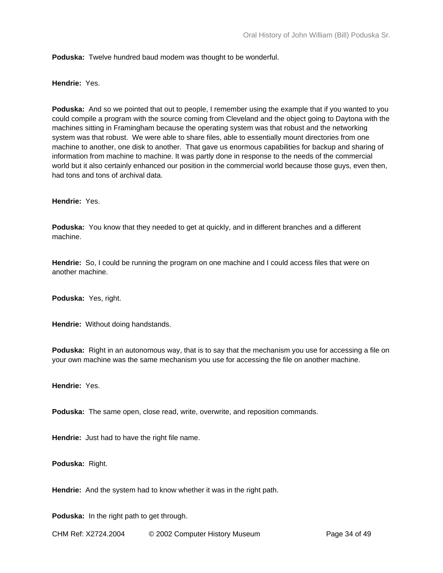**Poduska:** Twelve hundred baud modem was thought to be wonderful.

**Hendrie:** Yes.

**Poduska:** And so we pointed that out to people, I remember using the example that if you wanted to you could compile a program with the source coming from Cleveland and the object going to Daytona with the machines sitting in Framingham because the operating system was that robust and the networking system was that robust. We were able to share files, able to essentially mount directories from one machine to another, one disk to another. That gave us enormous capabilities for backup and sharing of information from machine to machine. It was partly done in response to the needs of the commercial world but it also certainly enhanced our position in the commercial world because those guys, even then, had tons and tons of archival data.

**Hendrie:** Yes.

**Poduska:** You know that they needed to get at quickly, and in different branches and a different machine.

**Hendrie:** So, I could be running the program on one machine and I could access files that were on another machine.

**Poduska:** Yes, right.

**Hendrie:** Without doing handstands.

**Poduska:** Right in an autonomous way, that is to say that the mechanism you use for accessing a file on your own machine was the same mechanism you use for accessing the file on another machine.

**Hendrie:** Yes.

**Poduska:** The same open, close read, write, overwrite, and reposition commands.

**Hendrie:** Just had to have the right file name.

**Poduska:** Right.

**Hendrie:** And the system had to know whether it was in the right path.

**Poduska:** In the right path to get through.

CHM Ref: X2724.2004 © 2002 Computer History Museum Page 34 of 49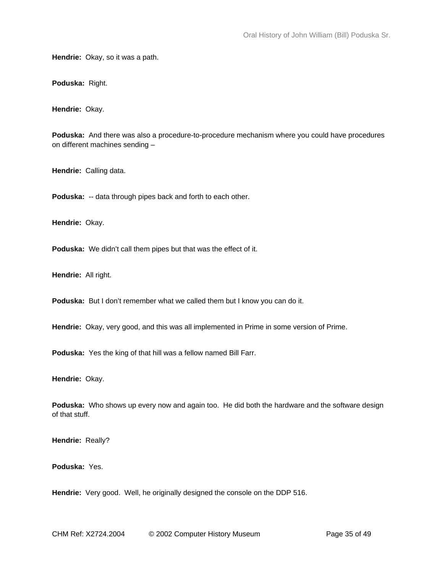**Hendrie:** Okay, so it was a path.

**Poduska:** Right.

**Hendrie:** Okay.

**Poduska:** And there was also a procedure-to-procedure mechanism where you could have procedures on different machines sending –

**Hendrie:** Calling data.

**Poduska:** -- data through pipes back and forth to each other.

**Hendrie:** Okay.

**Poduska:** We didn't call them pipes but that was the effect of it.

**Hendrie:** All right.

**Poduska:** But I don't remember what we called them but I know you can do it.

**Hendrie:** Okay, very good, and this was all implemented in Prime in some version of Prime.

**Poduska:** Yes the king of that hill was a fellow named Bill Farr.

**Hendrie:** Okay.

**Poduska:** Who shows up every now and again too. He did both the hardware and the software design of that stuff.

**Hendrie:** Really?

**Poduska:** Yes.

**Hendrie:** Very good. Well, he originally designed the console on the DDP 516.

CHM Ref: X2724.2004 © 2002 Computer History Museum Page 35 of 49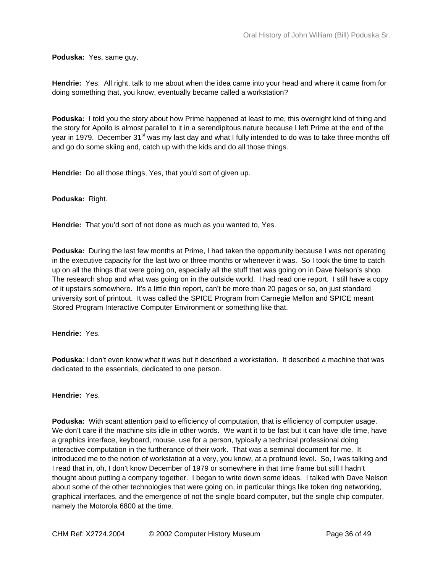**Poduska:** Yes, same guy.

**Hendrie:** Yes. All right, talk to me about when the idea came into your head and where it came from for doing something that, you know, eventually became called a workstation?

**Poduska:** I told you the story about how Prime happened at least to me, this overnight kind of thing and the story for Apollo is almost parallel to it in a serendipitous nature because I left Prime at the end of the year in 1979. December 31<sup>st</sup> was my last day and what I fully intended to do was to take three months off and go do some skiing and, catch up with the kids and do all those things.

**Hendrie:** Do all those things, Yes, that you'd sort of given up.

**Poduska:** Right.

**Hendrie:** That you'd sort of not done as much as you wanted to, Yes.

**Poduska:** During the last few months at Prime, I had taken the opportunity because I was not operating in the executive capacity for the last two or three months or whenever it was. So I took the time to catch up on all the things that were going on, especially all the stuff that was going on in Dave Nelson's shop. The research shop and what was going on in the outside world. I had read one report. I still have a copy of it upstairs somewhere. It's a little thin report, can't be more than 20 pages or so, on just standard university sort of printout. It was called the SPICE Program from Carnegie Mellon and SPICE meant Stored Program Interactive Computer Environment or something like that.

**Hendrie:** Yes.

**Poduska**: I don't even know what it was but it described a workstation. It described a machine that was dedicated to the essentials, dedicated to one person.

**Hendrie:** Yes.

**Poduska:** With scant attention paid to efficiency of computation, that is efficiency of computer usage. We don't care if the machine sits idle in other words. We want it to be fast but it can have idle time, have a graphics interface, keyboard, mouse, use for a person, typically a technical professional doing interactive computation in the furtherance of their work. That was a seminal document for me. It introduced me to the notion of workstation at a very, you know, at a profound level. So, I was talking and I read that in, oh, I don't know December of 1979 or somewhere in that time frame but still I hadn't thought about putting a company together. I began to write down some ideas. I talked with Dave Nelson about some of the other technologies that were going on, in particular things like token ring networking, graphical interfaces, and the emergence of not the single board computer, but the single chip computer, namely the Motorola 6800 at the time.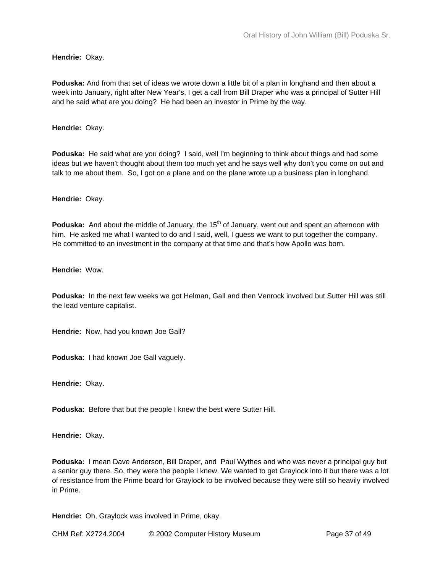**Hendrie:** Okay.

**Poduska:** And from that set of ideas we wrote down a little bit of a plan in longhand and then about a week into January, right after New Year's, I get a call from Bill Draper who was a principal of Sutter Hill and he said what are you doing? He had been an investor in Prime by the way.

**Hendrie:** Okay.

**Poduska:** He said what are you doing? I said, well I'm beginning to think about things and had some ideas but we haven't thought about them too much yet and he says well why don't you come on out and talk to me about them. So, I got on a plane and on the plane wrote up a business plan in longhand.

**Hendrie:** Okay.

**Poduska:** And about the middle of January, the 15<sup>th</sup> of January, went out and spent an afternoon with him. He asked me what I wanted to do and I said, well, I guess we want to put together the company. He committed to an investment in the company at that time and that's how Apollo was born.

**Hendrie:** Wow.

**Poduska:** In the next few weeks we got Helman, Gall and then Venrock involved but Sutter Hill was still the lead venture capitalist.

**Hendrie:** Now, had you known Joe Gall?

**Poduska:** I had known Joe Gall vaguely.

**Hendrie:** Okay.

**Poduska:** Before that but the people I knew the best were Sutter Hill.

**Hendrie:** Okay.

**Poduska:** I mean Dave Anderson, Bill Draper, and Paul Wythes and who was never a principal guy but a senior guy there. So, they were the people I knew. We wanted to get Graylock into it but there was a lot of resistance from the Prime board for Graylock to be involved because they were still so heavily involved in Prime.

**Hendrie:** Oh, Graylock was involved in Prime, okay.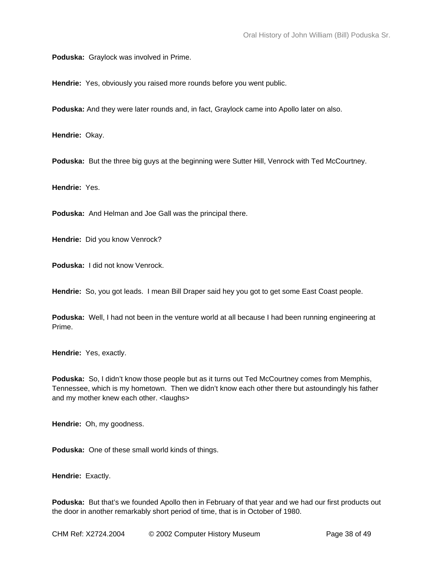**Poduska:** Graylock was involved in Prime.

**Hendrie:** Yes, obviously you raised more rounds before you went public.

**Poduska:** And they were later rounds and, in fact, Graylock came into Apollo later on also.

**Hendrie:** Okay.

**Poduska:** But the three big guys at the beginning were Sutter Hill, Venrock with Ted McCourtney.

**Hendrie:** Yes.

**Poduska:** And Helman and Joe Gall was the principal there.

**Hendrie:** Did you know Venrock?

**Poduska:** I did not know Venrock.

**Hendrie:** So, you got leads. I mean Bill Draper said hey you got to get some East Coast people.

**Poduska:** Well, I had not been in the venture world at all because I had been running engineering at Prime.

**Hendrie:** Yes, exactly.

**Poduska:** So, I didn't know those people but as it turns out Ted McCourtney comes from Memphis, Tennessee, which is my hometown. Then we didn't know each other there but astoundingly his father and my mother knew each other. <laughs>

**Hendrie:** Oh, my goodness.

**Poduska:** One of these small world kinds of things.

**Hendrie:** Exactly.

**Poduska:** But that's we founded Apollo then in February of that year and we had our first products out the door in another remarkably short period of time, that is in October of 1980.

CHM Ref: X2724.2004 © 2002 Computer History Museum Page 38 of 49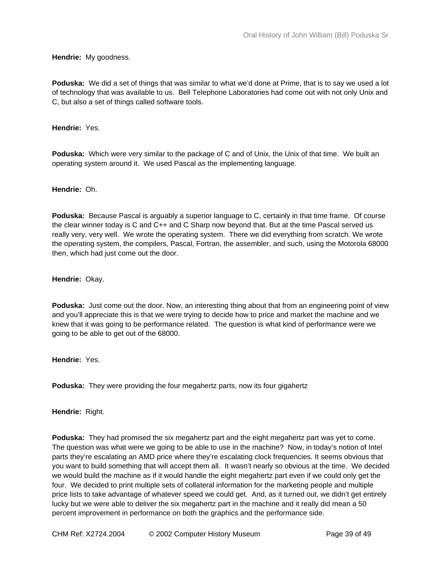**Hendrie:** My goodness.

**Poduska:** We did a set of things that was similar to what we'd done at Prime, that is to say we used a lot of technology that was available to us. Bell Telephone Laboratories had come out with not only Unix and C, but also a set of things called software tools.

**Hendrie:** Yes.

**Poduska:** Which were very similar to the package of C and of Unix, the Unix of that time. We built an operating system around it. We used Pascal as the implementing language.

**Hendrie:** Oh.

**Poduska:** Because Pascal is arguably a superior language to C, certainly in that time frame. Of course the clear winner today is C and C++ and C Sharp now beyond that. But at the time Pascal served us really very, very well. We wrote the operating system. There we did everything from scratch. We wrote the operating system, the compilers, Pascal, Fortran, the assembler, and such, using the Motorola 68000 then, which had just come out the door.

**Hendrie:** Okay.

**Poduska:** Just come out the door. Now, an interesting thing about that from an engineering point of view and you'll appreciate this is that we were trying to decide how to price and market the machine and we knew that it was going to be performance related. The question is what kind of performance were we going to be able to get out of the 68000.

**Hendrie:** Yes.

**Poduska:** They were providing the four megahertz parts, now its four gigahertz

**Hendrie:** Right.

**Poduska:** They had promised the six megahertz part and the eight megahertz part was yet to come. The question was what were we going to be able to use in the machine? Now, in today's notion of Intel parts they're escalating an AMD price where they're escalating clock frequencies. It seems obvious that you want to build something that will accept them all. It wasn't nearly so obvious at the time. We decided we would build the machine as if it would handle the eight megahertz part even if we could only get the four. We decided to print multiple sets of collateral information for the marketing people and multiple price lists to take advantage of whatever speed we could get. And, as it turned out, we didn't get entirely lucky but we were able to deliver the six megahertz part in the machine and it really did mean a 50 percent improvement in performance on both the graphics and the performance side.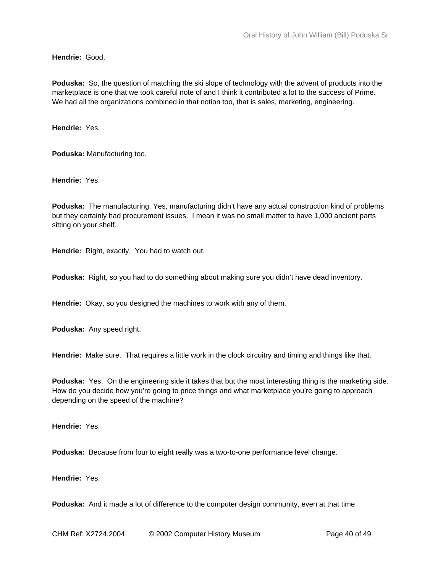**Hendrie:** Good.

**Poduska:** So, the question of matching the ski slope of technology with the advent of products into the marketplace is one that we took careful note of and I think it contributed a lot to the success of Prime. We had all the organizations combined in that notion too, that is sales, marketing, engineering.

**Hendrie:** Yes.

**Poduska:** Manufacturing too.

**Hendrie:** Yes.

**Poduska:** The manufacturing. Yes, manufacturing didn't have any actual construction kind of problems but they certainly had procurement issues. I mean it was no small matter to have 1,000 ancient parts sitting on your shelf.

**Hendrie:** Right, exactly. You had to watch out.

**Poduska:** Right, so you had to do something about making sure you didn't have dead inventory.

**Hendrie:** Okay, so you designed the machines to work with any of them.

**Poduska:** Any speed right.

**Hendrie:** Make sure. That requires a little work in the clock circuitry and timing and things like that.

**Poduska:** Yes. On the engineering side it takes that but the most interesting thing is the marketing side. How do you decide how you're going to price things and what marketplace you're going to approach depending on the speed of the machine?

**Hendrie:** Yes.

**Poduska:** Because from four to eight really was a two-to-one performance level change.

**Hendrie:** Yes.

**Poduska:** And it made a lot of difference to the computer design community, even at that time.

CHM Ref: X2724.2004 © 2002 Computer History Museum Page 40 of 49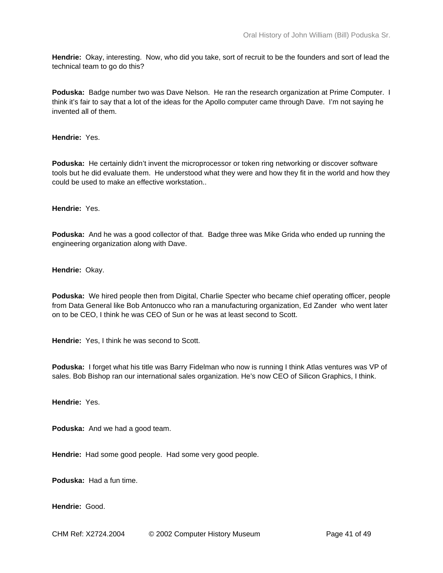**Hendrie:** Okay, interesting. Now, who did you take, sort of recruit to be the founders and sort of lead the technical team to go do this?

**Poduska:** Badge number two was Dave Nelson. He ran the research organization at Prime Computer. I think it's fair to say that a lot of the ideas for the Apollo computer came through Dave. I'm not saying he invented all of them.

**Hendrie:** Yes.

**Poduska:** He certainly didn't invent the microprocessor or token ring networking or discover software tools but he did evaluate them. He understood what they were and how they fit in the world and how they could be used to make an effective workstation..

**Hendrie:** Yes.

**Poduska:** And he was a good collector of that. Badge three was Mike Grida who ended up running the engineering organization along with Dave.

**Hendrie:** Okay.

**Poduska:** We hired people then from Digital, Charlie Specter who became chief operating officer, people from Data General like Bob Antonucco who ran a manufacturing organization, Ed Zander who went later on to be CEO, I think he was CEO of Sun or he was at least second to Scott.

**Hendrie:** Yes, I think he was second to Scott.

**Poduska:** I forget what his title was Barry Fidelman who now is running I think Atlas ventures was VP of sales. Bob Bishop ran our international sales organization. He's now CEO of Silicon Graphics, I think.

**Hendrie:** Yes.

**Poduska:** And we had a good team.

**Hendrie:** Had some good people. Had some very good people.

**Poduska:** Had a fun time.

**Hendrie:** Good.

CHM Ref: X2724.2004 © 2002 Computer History Museum Page 41 of 49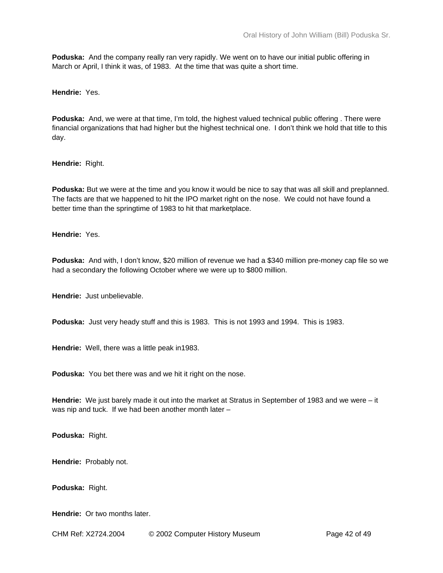**Poduska:** And the company really ran very rapidly. We went on to have our initial public offering in March or April, I think it was, of 1983. At the time that was quite a short time.

**Hendrie:** Yes.

**Poduska:** And, we were at that time, I'm told, the highest valued technical public offering . There were financial organizations that had higher but the highest technical one. I don't think we hold that title to this day.

**Hendrie:** Right.

**Poduska:** But we were at the time and you know it would be nice to say that was all skill and preplanned. The facts are that we happened to hit the IPO market right on the nose. We could not have found a better time than the springtime of 1983 to hit that marketplace.

**Hendrie:** Yes.

**Poduska:** And with, I don't know, \$20 million of revenue we had a \$340 million pre-money cap file so we had a secondary the following October where we were up to \$800 million.

**Hendrie:** Just unbelievable.

**Poduska:** Just very heady stuff and this is 1983. This is not 1993 and 1994. This is 1983.

**Hendrie:** Well, there was a little peak in1983.

**Poduska:** You bet there was and we hit it right on the nose.

**Hendrie:** We just barely made it out into the market at Stratus in September of 1983 and we were – it was nip and tuck. If we had been another month later –

**Poduska:** Right.

**Hendrie:** Probably not.

**Poduska:** Right.

**Hendrie:** Or two months later.

CHM Ref: X2724.2004 © 2002 Computer History Museum Page 42 of 49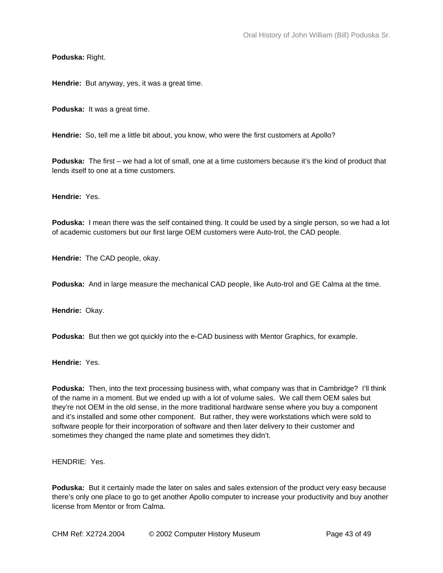**Poduska:** Right.

**Hendrie:** But anyway, yes, it was a great time.

**Poduska:** It was a great time.

**Hendrie:** So, tell me a little bit about, you know, who were the first customers at Apollo?

**Poduska:** The first – we had a lot of small, one at a time customers because it's the kind of product that lends itself to one at a time customers.

**Hendrie:** Yes.

**Poduska:** I mean there was the self contained thing. It could be used by a single person, so we had a lot of academic customers but our first large OEM customers were Auto-trol, the CAD people.

**Hendrie:** The CAD people, okay.

**Poduska:** And in large measure the mechanical CAD people, like Auto-trol and GE Calma at the time.

**Hendrie:** Okay.

**Poduska:** But then we got quickly into the e-CAD business with Mentor Graphics, for example.

**Hendrie:** Yes.

**Poduska:** Then, into the text processing business with, what company was that in Cambridge? I'll think of the name in a moment. But we ended up with a lot of volume sales. We call them OEM sales but they're not OEM in the old sense, in the more traditional hardware sense where you buy a component and it's installed and some other component. But rather, they were workstations which were sold to software people for their incorporation of software and then later delivery to their customer and sometimes they changed the name plate and sometimes they didn't.

HENDRIE: Yes.

**Poduska:** But it certainly made the later on sales and sales extension of the product very easy because there's only one place to go to get another Apollo computer to increase your productivity and buy another license from Mentor or from Calma.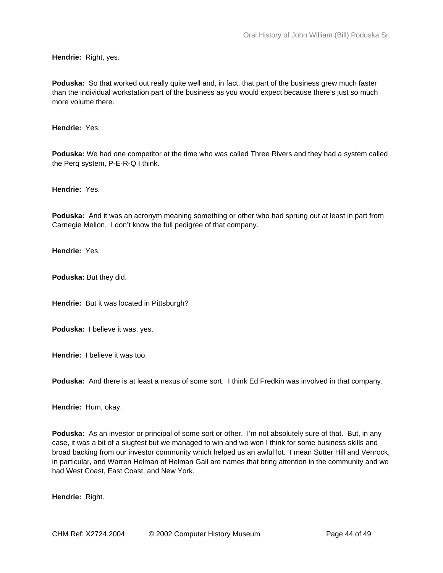**Hendrie:** Right, yes.

**Poduska:** So that worked out really quite well and, in fact, that part of the business grew much faster than the individual workstation part of the business as you would expect because there's just so much more volume there.

**Hendrie:** Yes.

**Poduska:** We had one competitor at the time who was called Three Rivers and they had a system called the Perq system, P-E-R-Q I think.

**Hendrie:** Yes.

**Poduska:** And it was an acronym meaning something or other who had sprung out at least in part from Carnegie Mellon. I don't know the full pedigree of that company.

**Hendrie:** Yes.

**Poduska:** But they did.

**Hendrie:** But it was located in Pittsburgh?

**Poduska:** I believe it was, yes.

**Hendrie:** I believe it was too.

**Poduska:** And there is at least a nexus of some sort. I think Ed Fredkin was involved in that company.

**Hendrie:** Hum, okay.

**Poduska:** As an investor or principal of some sort or other. I'm not absolutely sure of that. But, in any case, it was a bit of a slugfest but we managed to win and we won I think for some business skills and broad backing from our investor community which helped us an awful lot. I mean Sutter Hill and Venrock, in particular, and Warren Helman of Helman Gall are names that bring attention in the community and we had West Coast, East Coast, and New York.

**Hendrie:** Right.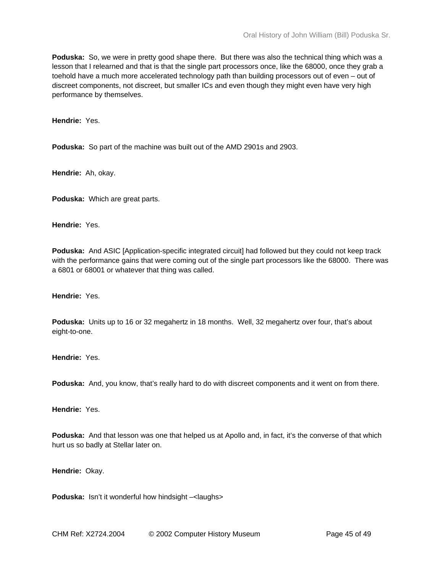**Poduska:** So, we were in pretty good shape there. But there was also the technical thing which was a lesson that I relearned and that is that the single part processors once, like the 68000, once they grab a toehold have a much more accelerated technology path than building processors out of even – out of discreet components, not discreet, but smaller ICs and even though they might even have very high performance by themselves.

**Hendrie:** Yes.

**Poduska:** So part of the machine was built out of the AMD 2901s and 2903.

**Hendrie:** Ah, okay.

**Poduska:** Which are great parts.

**Hendrie:** Yes.

**Poduska:** And ASIC [Application-specific integrated circuit] had followed but they could not keep track with the performance gains that were coming out of the single part processors like the 68000. There was a 6801 or 68001 or whatever that thing was called.

**Hendrie:** Yes.

**Poduska:** Units up to 16 or 32 megahertz in 18 months. Well, 32 megahertz over four, that's about eight-to-one.

**Hendrie:** Yes.

**Poduska:** And, you know, that's really hard to do with discreet components and it went on from there.

**Hendrie:** Yes.

**Poduska:** And that lesson was one that helped us at Apollo and, in fact, it's the converse of that which hurt us so badly at Stellar later on.

**Hendrie:** Okay.

**Poduska:** Isn't it wonderful how hindsight -<laughs>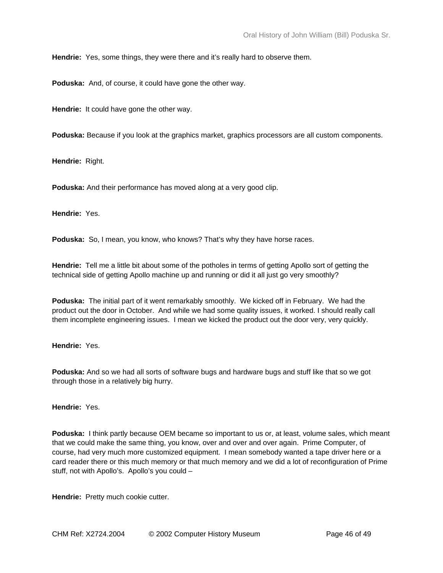**Hendrie:** Yes, some things, they were there and it's really hard to observe them.

**Poduska:** And, of course, it could have gone the other way.

**Hendrie:** It could have gone the other way.

**Poduska:** Because if you look at the graphics market, graphics processors are all custom components.

**Hendrie:** Right.

**Poduska:** And their performance has moved along at a very good clip.

**Hendrie:** Yes.

**Poduska:** So, I mean, you know, who knows? That's why they have horse races.

**Hendrie:** Tell me a little bit about some of the potholes in terms of getting Apollo sort of getting the technical side of getting Apollo machine up and running or did it all just go very smoothly?

**Poduska:** The initial part of it went remarkably smoothly. We kicked off in February. We had the product out the door in October. And while we had some quality issues, it worked. I should really call them incomplete engineering issues. I mean we kicked the product out the door very, very quickly.

**Hendrie:** Yes.

**Poduska:** And so we had all sorts of software bugs and hardware bugs and stuff like that so we got through those in a relatively big hurry.

**Hendrie:** Yes.

**Poduska:** I think partly because OEM became so important to us or, at least, volume sales, which meant that we could make the same thing, you know, over and over and over again. Prime Computer, of course, had very much more customized equipment. I mean somebody wanted a tape driver here or a card reader there or this much memory or that much memory and we did a lot of reconfiguration of Prime stuff, not with Apollo's. Apollo's you could –

**Hendrie:** Pretty much cookie cutter.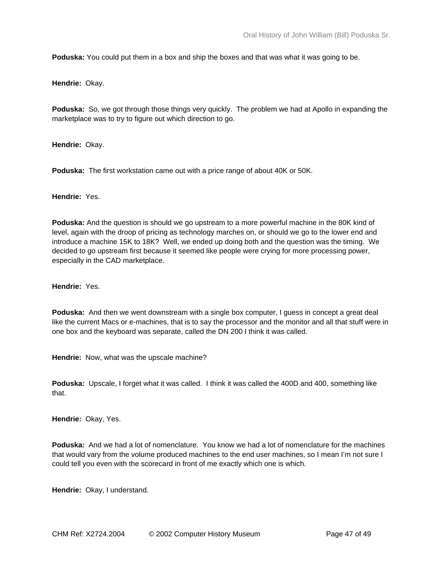**Poduska:** You could put them in a box and ship the boxes and that was what it was going to be.

**Hendrie:** Okay.

**Poduska:** So, we got through those things very quickly. The problem we had at Apollo in expanding the marketplace was to try to figure out which direction to go.

**Hendrie:** Okay.

**Poduska:** The first workstation came out with a price range of about 40K or 50K.

**Hendrie:** Yes.

**Poduska:** And the question is should we go upstream to a more powerful machine in the 80K kind of level, again with the droop of pricing as technology marches on, or should we go to the lower end and introduce a machine 15K to 18K? Well, we ended up doing both and the question was the timing. We decided to go upstream first because it seemed like people were crying for more processing power, especially in the CAD marketplace.

**Hendrie:** Yes.

**Poduska:** And then we went downstream with a single box computer, I guess in concept a great deal like the current Macs or e-machines, that is to say the processor and the monitor and all that stuff were in one box and the keyboard was separate, called the DN 200 I think it was called.

**Hendrie:** Now, what was the upscale machine?

**Poduska:** Upscale, I forget what it was called. I think it was called the 400D and 400, something like that.

**Hendrie:** Okay, Yes.

**Poduska:** And we had a lot of nomenclature. You know we had a lot of nomenclature for the machines that would vary from the volume produced machines to the end user machines, so I mean I'm not sure I could tell you even with the scorecard in front of me exactly which one is which.

**Hendrie:** Okay, I understand.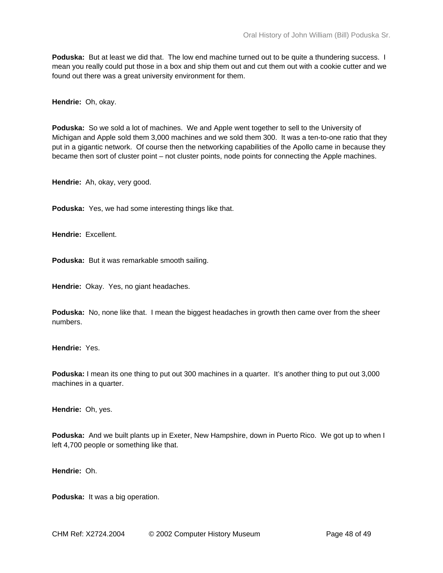**Poduska:** But at least we did that. The low end machine turned out to be quite a thundering success. I mean you really could put those in a box and ship them out and cut them out with a cookie cutter and we found out there was a great university environment for them.

**Hendrie:** Oh, okay.

**Poduska:** So we sold a lot of machines. We and Apple went together to sell to the University of Michigan and Apple sold them 3,000 machines and we sold them 300. It was a ten-to-one ratio that they put in a gigantic network. Of course then the networking capabilities of the Apollo came in because they became then sort of cluster point – not cluster points, node points for connecting the Apple machines.

**Hendrie:** Ah, okay, very good.

**Poduska:** Yes, we had some interesting things like that.

**Hendrie:** Excellent.

**Poduska:** But it was remarkable smooth sailing.

**Hendrie:** Okay. Yes, no giant headaches.

**Poduska:** No, none like that. I mean the biggest headaches in growth then came over from the sheer numbers.

**Hendrie:** Yes.

**Poduska:** I mean its one thing to put out 300 machines in a quarter. It's another thing to put out 3,000 machines in a quarter.

**Hendrie:** Oh, yes.

**Poduska:** And we built plants up in Exeter, New Hampshire, down in Puerto Rico. We got up to when I left 4,700 people or something like that.

**Hendrie:** Oh.

**Poduska:** It was a big operation.